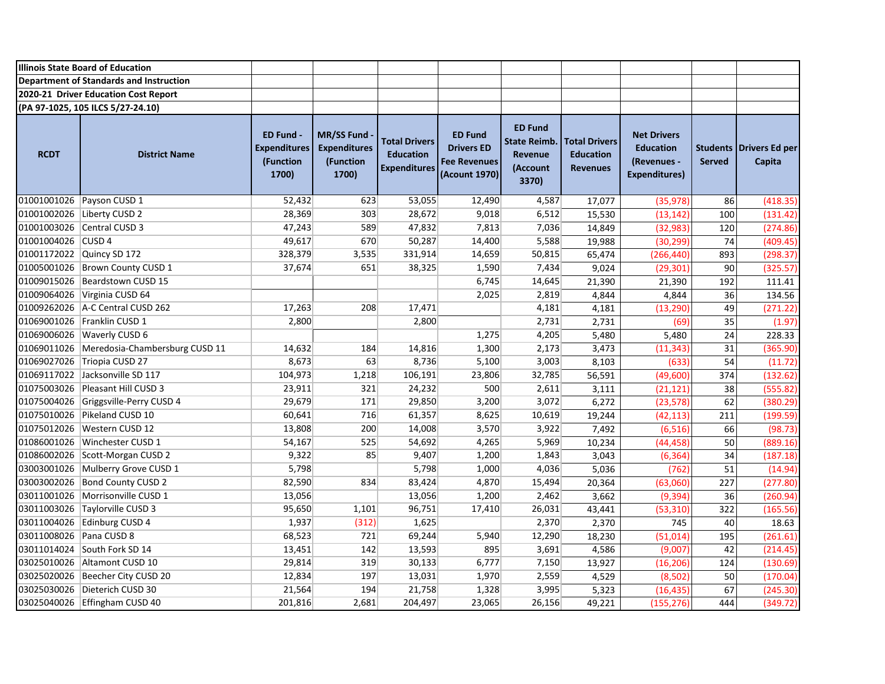|                           | <b>Illinois State Board of Education</b>   |                                                               |                                                                |                                                                 |                                                                             |                                                                       |                                                             |                                                                               |                                  |                          |
|---------------------------|--------------------------------------------|---------------------------------------------------------------|----------------------------------------------------------------|-----------------------------------------------------------------|-----------------------------------------------------------------------------|-----------------------------------------------------------------------|-------------------------------------------------------------|-------------------------------------------------------------------------------|----------------------------------|--------------------------|
|                           | Department of Standards and Instruction    |                                                               |                                                                |                                                                 |                                                                             |                                                                       |                                                             |                                                                               |                                  |                          |
|                           | 2020-21 Driver Education Cost Report       |                                                               |                                                                |                                                                 |                                                                             |                                                                       |                                                             |                                                                               |                                  |                          |
|                           | (PA 97-1025, 105 ILCS 5/27-24.10)          |                                                               |                                                                |                                                                 |                                                                             |                                                                       |                                                             |                                                                               |                                  |                          |
| <b>RCDT</b>               | <b>District Name</b>                       | <b>ED Fund -</b><br><b>Expenditures</b><br>(Function<br>1700) | <b>MR/SS Fund</b><br><b>Expenditures</b><br>(Function<br>1700) | <b>Total Drivers</b><br><b>Education</b><br><b>Expenditures</b> | <b>ED Fund</b><br><b>Drivers ED</b><br><b>Fee Revenues</b><br>(Acount 1970) | <b>ED Fund</b><br><b>State Reimb.</b><br>Revenue<br>(Account<br>3370) | <b>Total Drivers</b><br><b>Education</b><br><b>Revenues</b> | <b>Net Drivers</b><br><b>Education</b><br>(Revenues -<br><b>Expenditures)</b> | <b>Students</b><br><b>Served</b> | Drivers Ed per<br>Capita |
|                           | 01001001026 Payson CUSD 1                  | 52,432                                                        | 623                                                            | 53,055                                                          | 12,490                                                                      | 4,587                                                                 | 17,077                                                      | (35, 978)                                                                     | 86                               | (418.35)                 |
|                           | 01001002026 Liberty CUSD 2                 | 28,369                                                        | 303                                                            | 28,672                                                          | 9,018                                                                       | 6,512                                                                 | 15,530                                                      | (13, 142)                                                                     | 100                              | (131.42)                 |
|                           | 01001003026 Central CUSD 3                 | 47,243                                                        | 589                                                            | 47,832                                                          | 7,813                                                                       | 7,036                                                                 | 14,849                                                      | (32, 983)                                                                     | 120                              | (274.86)                 |
| 01001004026 CUSD 4        |                                            | 49,617                                                        | 670                                                            | 50,287                                                          | 14,400                                                                      | 5,588                                                                 | 19,988                                                      | (30, 299)                                                                     | 74                               | (409.45)                 |
| 01001172022 Quincy SD 172 |                                            | 328,379                                                       | 3,535                                                          | 331,914                                                         | 14,659                                                                      | 50,815                                                                | 65,474                                                      | (266, 440)                                                                    | 893                              | (298.37)                 |
|                           | 01005001026 Brown County CUSD 1            | 37,674                                                        | 651                                                            | 38,325                                                          | 1,590                                                                       | 7,434                                                                 | 9,024                                                       | (29, 301)                                                                     | 90                               | (325.57)                 |
|                           | 01009015026 Beardstown CUSD 15             |                                                               |                                                                |                                                                 | 6,745                                                                       | 14,645                                                                | 21,390                                                      | 21,390                                                                        | 192                              | 111.41                   |
|                           | 01009064026 Virginia CUSD 64               |                                                               |                                                                |                                                                 | 2,025                                                                       | 2,819                                                                 | 4,844                                                       | 4,844                                                                         | 36                               | 134.56                   |
|                           | 01009262026   A-C Central CUSD 262         | 17,263                                                        | 208                                                            | 17,471                                                          |                                                                             | 4,181                                                                 | 4,181                                                       | (13, 290)                                                                     | 49                               | (271.22)                 |
|                           | 01069001026 Franklin CUSD 1                | 2,800                                                         |                                                                | 2,800                                                           |                                                                             | 2,731                                                                 | 2,731                                                       | (69)                                                                          | 35                               | (1.97)                   |
|                           | 01069006026 Waverly CUSD 6                 |                                                               |                                                                |                                                                 | 1,275                                                                       | 4,205                                                                 | 5,480                                                       | 5,480                                                                         | 24                               | 228.33                   |
|                           | 01069011026 Meredosia-Chambersburg CUSD 11 | 14,632                                                        | 184                                                            | 14,816                                                          | 1,300                                                                       | 2,173                                                                 | 3,473                                                       | (11, 343)                                                                     | 31                               | (365.90)                 |
|                           | 01069027026 Triopia CUSD 27                | 8,673                                                         | 63                                                             | 8,736                                                           | 5,100                                                                       | 3,003                                                                 | 8,103                                                       | (633)                                                                         | 54                               | (11.72)                  |
|                           | 01069117022 Jacksonville SD 117            | 104,973                                                       | 1,218                                                          | 106,191                                                         | 23,806                                                                      | 32,785                                                                | 56,591                                                      | (49,600)                                                                      | 374                              | (132.62)                 |
|                           | 01075003026 Pleasant Hill CUSD 3           | 23,911                                                        | 321                                                            | 24,232                                                          | 500                                                                         | 2,611                                                                 | 3,111                                                       | (21, 121)                                                                     | 38                               | (555.82)                 |
|                           | 01075004026 Griggsville-Perry CUSD 4       | 29,679                                                        | 171                                                            | 29,850                                                          | 3,200                                                                       | 3,072                                                                 | 6,272                                                       | (23, 578)                                                                     | 62                               | (380.29)                 |
|                           | 01075010026 Pikeland CUSD 10               | 60,641                                                        | 716                                                            | 61,357                                                          | 8,625                                                                       | 10,619                                                                | 19,244                                                      | (42, 113)                                                                     | 211                              | (199.59)                 |
|                           | 01075012026   Western CUSD 12              | 13,808                                                        | 200                                                            | 14,008                                                          | 3,570                                                                       | 3,922                                                                 | 7,492                                                       | (6, 516)                                                                      | 66                               | (98.73)                  |
|                           | 01086001026 Winchester CUSD 1              | 54,167                                                        | 525                                                            | 54,692                                                          | 4,265                                                                       | 5,969                                                                 | 10,234                                                      | (44, 458)                                                                     | 50                               | (889.16)                 |
|                           | 01086002026 Scott-Morgan CUSD 2            | 9,322                                                         | 85                                                             | 9,407                                                           | 1,200                                                                       | 1,843                                                                 | 3,043                                                       | (6, 364)                                                                      | 34                               | (187.18)                 |
|                           | 03003001026 Mulberry Grove CUSD 1          | 5,798                                                         |                                                                | 5,798                                                           | 1,000                                                                       | 4,036                                                                 | 5,036                                                       | (762)                                                                         | 51                               | (14.94)                  |
|                           | 03003002026 Bond County CUSD 2             | 82,590                                                        | 834                                                            | 83,424                                                          | 4,870                                                                       | 15,494                                                                | 20,364                                                      | (63,060)                                                                      | 227                              | (277.80)                 |
|                           | 03011001026 Morrisonville CUSD 1           | 13,056                                                        |                                                                | 13,056                                                          | 1,200                                                                       | 2,462                                                                 | 3,662                                                       | (9, 394)                                                                      | 36                               | (260.94)                 |
|                           | 03011003026 Taylorville CUSD 3             | 95,650                                                        | 1,101                                                          | 96,751                                                          | 17,410                                                                      | 26,031                                                                | 43,441                                                      | (53, 310)                                                                     | 322                              | (165.56)                 |
|                           | 03011004026 Edinburg CUSD 4                | 1,937                                                         | (312)                                                          | 1,625                                                           |                                                                             | 2,370                                                                 | 2,370                                                       | 745                                                                           | 40                               | 18.63                    |
| 03011008026 Pana CUSD 8   |                                            | 68,523                                                        | 721                                                            | 69,244                                                          | 5,940                                                                       | 12,290                                                                | 18,230                                                      | (51, 014)                                                                     | 195                              | (261.61)                 |
|                           | 03011014024 South Fork SD 14               | 13,451                                                        | 142                                                            | 13,593                                                          | 895                                                                         | 3,691                                                                 | 4,586                                                       | (9,007)                                                                       | 42                               | (214.45)                 |
|                           | 03025010026 Altamont CUSD 10               | 29,814                                                        | 319                                                            | 30,133                                                          | 6,777                                                                       | 7,150                                                                 | 13,927                                                      | (16, 206)                                                                     | 124                              | (130.69)                 |
|                           | 03025020026   Beecher City CUSD 20         | 12,834                                                        | 197                                                            | 13,031                                                          | 1,970                                                                       | 2,559                                                                 | 4,529                                                       | (8, 502)                                                                      | 50                               | (170.04)                 |
|                           | 03025030026 Dieterich CUSD 30              | 21,564                                                        | 194                                                            | 21,758                                                          | 1,328                                                                       | 3,995                                                                 | 5,323                                                       | (16, 435)                                                                     | 67                               | (245.30)                 |
|                           | 03025040026 Effingham CUSD 40              | 201,816                                                       | 2,681                                                          | 204,497                                                         | 23,065                                                                      | 26,156                                                                | 49,221                                                      | (155, 276)                                                                    | 444                              | (349.72)                 |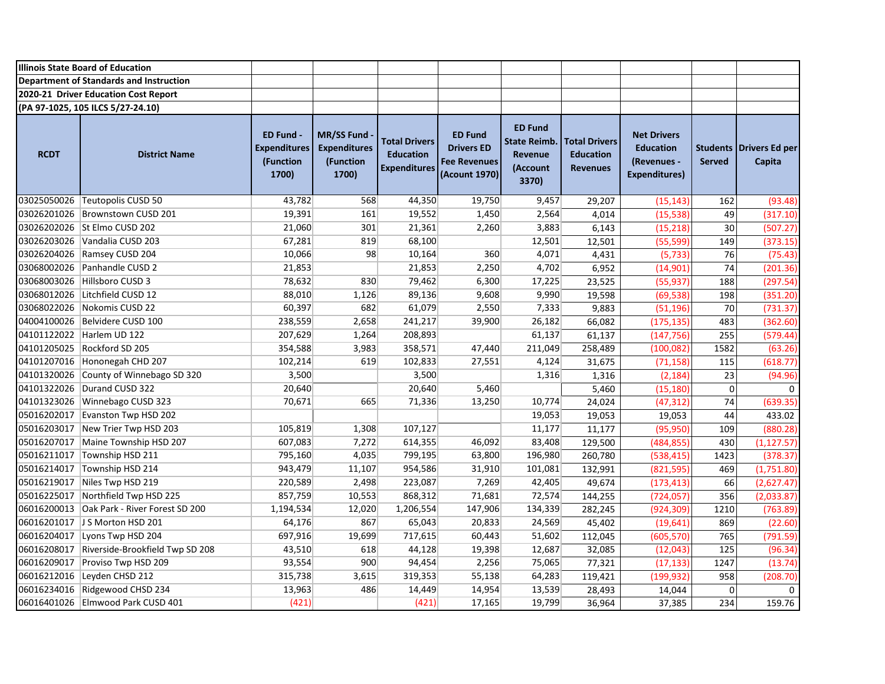|             | <b>Illinois State Board of Education</b>   |                                                               |                                                                |                                                                 |                                                                             |                                                                       |                                                             |                                                                               |                |                                            |
|-------------|--------------------------------------------|---------------------------------------------------------------|----------------------------------------------------------------|-----------------------------------------------------------------|-----------------------------------------------------------------------------|-----------------------------------------------------------------------|-------------------------------------------------------------|-------------------------------------------------------------------------------|----------------|--------------------------------------------|
|             | Department of Standards and Instruction    |                                                               |                                                                |                                                                 |                                                                             |                                                                       |                                                             |                                                                               |                |                                            |
|             | 2020-21 Driver Education Cost Report       |                                                               |                                                                |                                                                 |                                                                             |                                                                       |                                                             |                                                                               |                |                                            |
|             | (PA 97-1025, 105 ILCS 5/27-24.10)          |                                                               |                                                                |                                                                 |                                                                             |                                                                       |                                                             |                                                                               |                |                                            |
| <b>RCDT</b> | <b>District Name</b>                       | <b>ED Fund -</b><br><b>Expenditures</b><br>(Function<br>1700) | <b>MR/SS Fund</b><br><b>Expenditures</b><br>(Function<br>1700) | <b>Total Drivers</b><br><b>Education</b><br><b>Expenditures</b> | <b>ED Fund</b><br><b>Drivers ED</b><br><b>Fee Revenues</b><br>(Acount 1970) | <b>ED Fund</b><br><b>State Reimb.</b><br>Revenue<br>(Account<br>3370) | <b>Total Drivers</b><br><b>Education</b><br><b>Revenues</b> | <b>Net Drivers</b><br><b>Education</b><br>(Revenues -<br><b>Expenditures)</b> | <b>Served</b>  | <b>Students   Drivers Ed per</b><br>Capita |
|             | 03025050026 Teutopolis CUSD 50             | 43,782                                                        | 568                                                            | 44,350                                                          | 19,750                                                                      | 9,457                                                                 | 29,207                                                      | (15, 143)                                                                     | 162            | (93.48)                                    |
|             | 03026201026 Brownstown CUSD 201            | 19,391                                                        | 161                                                            | 19,552                                                          | 1,450                                                                       | 2,564                                                                 | 4,014                                                       | (15, 538)                                                                     | 49             | (317.10)                                   |
|             | 03026202026 St Elmo CUSD 202               | 21,060                                                        | 301                                                            | 21,361                                                          | 2,260                                                                       | 3,883                                                                 | 6,143                                                       | (15, 218)                                                                     | 30             | (507.27)                                   |
|             | 03026203026 Vandalia CUSD 203              | 67,281                                                        | 819                                                            | 68,100                                                          |                                                                             | 12,501                                                                | 12,501                                                      | (55, 599)                                                                     | 149            | (373.15)                                   |
|             | 03026204026 Ramsey CUSD 204                | 10,066                                                        | 98                                                             | 10,164                                                          | 360                                                                         | 4,071                                                                 | 4,431                                                       | (5, 733)                                                                      | 76             | (75.43)                                    |
|             | 03068002026 Panhandle CUSD 2               | 21,853                                                        |                                                                | 21,853                                                          | 2,250                                                                       | 4,702                                                                 | 6,952                                                       | (14, 901)                                                                     | 74             | (201.36)                                   |
|             | 03068003026 Hillsboro CUSD 3               | 78,632                                                        | 830                                                            | 79,462                                                          | 6,300                                                                       | 17,225                                                                | 23,525                                                      | (55, 937)                                                                     | 188            | (297.54)                                   |
|             | 03068012026 Litchfield CUSD 12             | 88,010                                                        | 1,126                                                          | 89,136                                                          | 9,608                                                                       | 9,990                                                                 | 19,598                                                      | (69, 538)                                                                     | 198            | (351.20)                                   |
|             | 03068022026 Nokomis CUSD 22                | 60,397                                                        | 682                                                            | 61,079                                                          | 2,550                                                                       | 7,333                                                                 | 9,883                                                       | (51, 196)                                                                     | 70             | (731.37)                                   |
|             | 04004100026 Belvidere CUSD 100             | 238,559                                                       | 2,658                                                          | 241,217                                                         | 39,900                                                                      | 26,182                                                                | 66,082                                                      | (175, 135)                                                                    | 483            | (362.60)                                   |
|             | 04101122022 Harlem UD 122                  | 207,629                                                       | 1,264                                                          | 208,893                                                         |                                                                             | 61,137                                                                | 61,137                                                      | (147, 756)                                                                    | 255            | (579.44)                                   |
|             | 04101205025 Rockford SD 205                | 354,588                                                       | 3,983                                                          | 358,571                                                         | 47,440                                                                      | 211,049                                                               | 258,489                                                     | (100, 082)                                                                    | 1582           | (63.26)                                    |
|             | 04101207016 Hononegah CHD 207              | 102,214                                                       | 619                                                            | 102,833                                                         | 27,551                                                                      | 4,124                                                                 | 31,675                                                      | (71, 158)                                                                     | 115            | (618.77)                                   |
|             | 04101320026 County of Winnebago SD 320     | 3,500                                                         |                                                                | 3,500                                                           |                                                                             | 1,316                                                                 | 1,316                                                       | (2, 184)                                                                      | 23             | (94.96)                                    |
|             | 04101322026 Durand CUSD 322                | 20,640                                                        |                                                                | 20,640                                                          | 5,460                                                                       |                                                                       | 5,460                                                       | (15, 180)                                                                     | $\overline{0}$ | $\Omega$                                   |
|             | 04101323026 Winnebago CUSD 323             | 70,671                                                        | 665                                                            | 71,336                                                          | 13,250                                                                      | 10,774                                                                | 24,024                                                      | (47, 312)                                                                     | 74             | (639.35)                                   |
|             | 05016202017 Evanston Twp HSD 202           |                                                               |                                                                |                                                                 |                                                                             | 19,053                                                                | 19,053                                                      | 19,053                                                                        | 44             | 433.02                                     |
|             | 05016203017 New Trier Twp HSD 203          | 105,819                                                       | 1,308                                                          | 107,127                                                         |                                                                             | 11,177                                                                | 11,177                                                      | (95, 950)                                                                     | 109            | (880.28)                                   |
|             | 05016207017 Maine Township HSD 207         | 607,083                                                       | 7,272                                                          | 614,355                                                         | 46,092                                                                      | 83,408                                                                | 129,500                                                     | (484, 855)                                                                    | 430            | (1, 127.57)                                |
|             | 05016211017 Township HSD 211               | 795,160                                                       | 4,035                                                          | 799,195                                                         | 63,800                                                                      | 196,980                                                               | 260,780                                                     | (538, 415)                                                                    | 1423           | (378.37)                                   |
|             | 05016214017 Township HSD 214               | 943,479                                                       | 11,107                                                         | 954,586                                                         | 31,910                                                                      | 101,081                                                               | 132,991                                                     | (821, 595)                                                                    | 469            | (1,751.80)                                 |
|             | 05016219017 Niles Twp HSD 219              | 220,589                                                       | 2,498                                                          | 223,087                                                         | 7,269                                                                       | 42,405                                                                | 49,674                                                      | (173, 413)                                                                    | 66             | (2,627.47)                                 |
|             | 05016225017 Northfield Twp HSD 225         | 857,759                                                       | 10,553                                                         | 868,312                                                         | 71,681                                                                      | 72,574                                                                | 144,255                                                     | (724, 057)                                                                    | 356            | (2,033.87)                                 |
|             | 06016200013 Oak Park - River Forest SD 200 | 1,194,534                                                     | 12,020                                                         | 1,206,554                                                       | 147,906                                                                     | 134,339                                                               | 282,245                                                     | (924, 309)                                                                    | 1210           | (763.89)                                   |
|             | 06016201017 J S Morton HSD 201             | 64,176                                                        | 867                                                            | 65,043                                                          | 20,833                                                                      | 24,569                                                                | 45,402                                                      | (19, 641)                                                                     | 869            | (22.60)                                    |
|             | 06016204017 Lyons Twp HSD 204              | 697,916                                                       | 19,699                                                         | 717,615                                                         | 60,443                                                                      | 51,602                                                                | 112,045                                                     | (605, 570)                                                                    | 765            | (791.59)                                   |
| 06016208017 | Riverside-Brookfield Twp SD 208            | 43,510                                                        | 618                                                            | 44,128                                                          | 19,398                                                                      | 12,687                                                                | 32,085                                                      | (12, 043)                                                                     | 125            | (96.34)                                    |
|             | 06016209017 Proviso Twp HSD 209            | 93,554                                                        | 900                                                            | 94,454                                                          | 2,256                                                                       | 75,065                                                                | 77,321                                                      | (17, 133)                                                                     | 1247           | (13.74)                                    |
|             | 06016212016 Leyden CHSD 212                | 315,738                                                       | 3,615                                                          | 319,353                                                         | 55,138                                                                      | 64,283                                                                | 119,421                                                     | (199, 932)                                                                    | 958            | (208.70)                                   |
|             | 06016234016 Ridgewood CHSD 234             | 13,963                                                        | 486                                                            | 14,449                                                          | 14,954                                                                      | 13,539                                                                | 28,493                                                      | 14,044                                                                        | $\pmb{0}$      | 0                                          |
|             | 06016401026 Elmwood Park CUSD 401          | (421)                                                         |                                                                | (421)                                                           | 17,165                                                                      | 19,799                                                                | 36,964                                                      | 37,385                                                                        | 234            | 159.76                                     |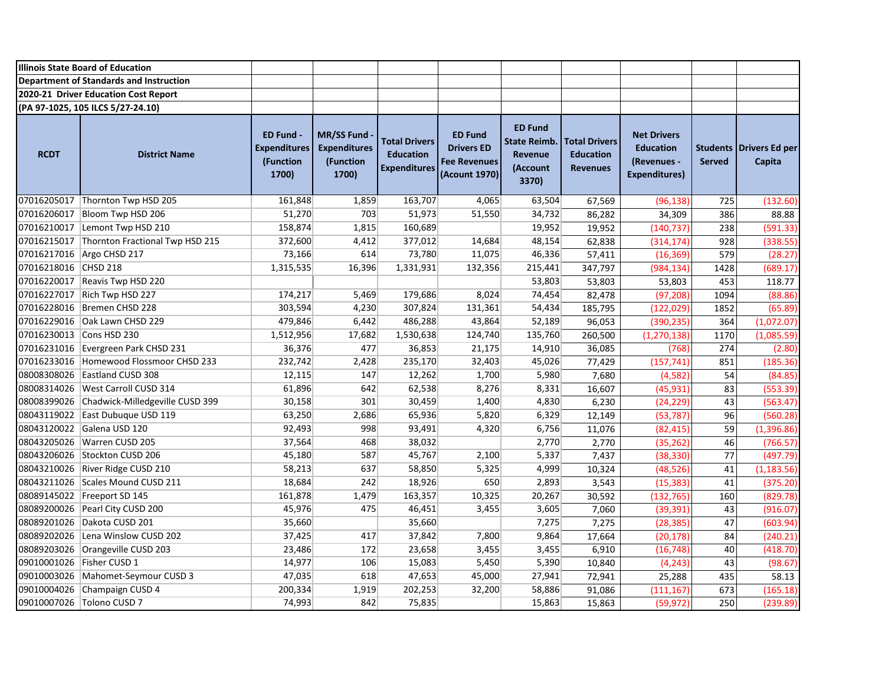|                           | <b>Illinois State Board of Education</b>    |                                                        |                                                                |                                                                 |                                                                             |                                                                              |                                                             |                                                                               |                                  |                                 |
|---------------------------|---------------------------------------------|--------------------------------------------------------|----------------------------------------------------------------|-----------------------------------------------------------------|-----------------------------------------------------------------------------|------------------------------------------------------------------------------|-------------------------------------------------------------|-------------------------------------------------------------------------------|----------------------------------|---------------------------------|
|                           | Department of Standards and Instruction     |                                                        |                                                                |                                                                 |                                                                             |                                                                              |                                                             |                                                                               |                                  |                                 |
|                           | 2020-21 Driver Education Cost Report        |                                                        |                                                                |                                                                 |                                                                             |                                                                              |                                                             |                                                                               |                                  |                                 |
|                           | (PA 97-1025, 105 ILCS 5/27-24.10)           |                                                        |                                                                |                                                                 |                                                                             |                                                                              |                                                             |                                                                               |                                  |                                 |
| <b>RCDT</b>               | <b>District Name</b>                        | ED Fund -<br><b>Expenditures</b><br>(Function<br>1700) | <b>MR/SS Fund</b><br><b>Expenditures</b><br>(Function<br>1700) | <b>Total Drivers</b><br><b>Education</b><br><b>Expenditures</b> | <b>ED Fund</b><br><b>Drivers ED</b><br><b>Fee Revenues</b><br>(Acount 1970) | <b>ED Fund</b><br><b>State Reimb.</b><br><b>Revenue</b><br>(Account<br>3370) | <b>Total Drivers</b><br><b>Education</b><br><b>Revenues</b> | <b>Net Drivers</b><br><b>Education</b><br>(Revenues -<br><b>Expenditures)</b> | <b>Students</b><br><b>Served</b> | <b>Drivers Ed per</b><br>Capita |
|                           | 07016205017 Thornton Twp HSD 205            | 161,848                                                | 1,859                                                          | 163,707                                                         | 4,065                                                                       | 63,504                                                                       | 67,569                                                      | (96, 138)                                                                     | 725                              | (132.60)                        |
| 07016206017               | Bloom Twp HSD 206                           | 51,270                                                 | 703                                                            | 51,973                                                          | 51,550                                                                      | 34,732                                                                       | 86,282                                                      | 34,309                                                                        | 386                              | 88.88                           |
|                           | 07016210017 Lemont Twp HSD 210              | 158,874                                                | 1,815                                                          | 160,689                                                         |                                                                             | 19,952                                                                       | 19,952                                                      | (140, 737)                                                                    | 238                              | (591.33)                        |
|                           | 07016215017 Thornton Fractional Twp HSD 215 | 372,600                                                | 4,412                                                          | 377,012                                                         | 14,684                                                                      | 48,154                                                                       | 62,838                                                      | (314, 174)                                                                    | 928                              | (338.55)                        |
|                           | 07016217016 Argo CHSD 217                   | 73,166                                                 | 614                                                            | 73,780                                                          | 11,075                                                                      | 46,336                                                                       | 57,411                                                      | (16, 369)                                                                     | 579                              | (28.27)                         |
| 07016218016 CHSD 218      |                                             | 1,315,535                                              | 16,396                                                         | 1,331,931                                                       | 132,356                                                                     | 215,441                                                                      | 347,797                                                     | (984, 134)                                                                    | 1428                             | (689.17)                        |
|                           | 07016220017 Reavis Twp HSD 220              |                                                        |                                                                |                                                                 |                                                                             | 53,803                                                                       | 53,803                                                      | 53,803                                                                        | 453                              | 118.77                          |
|                           | 07016227017 Rich Twp HSD 227                | 174,217                                                | 5,469                                                          | 179,686                                                         | 8,024                                                                       | 74,454                                                                       | 82,478                                                      | (97, 208)                                                                     | 1094                             | (88.86)                         |
|                           | 07016228016 Bremen CHSD 228                 | 303,594                                                | 4,230                                                          | 307,824                                                         | 131,361                                                                     | 54,434                                                                       | 185,795                                                     | (122, 029)                                                                    | 1852                             | (65.89)                         |
|                           | 07016229016 Oak Lawn CHSD 229               | 479,846                                                | 6,442                                                          | 486,288                                                         | 43,864                                                                      | 52,189                                                                       | 96,053                                                      | (390, 235)                                                                    | 364                              | (1,072.07)                      |
| 07016230013 Cons HSD 230  |                                             | 1,512,956                                              | 17,682                                                         | 1,530,638                                                       | 124,740                                                                     | 135,760                                                                      | 260,500                                                     | (1, 270, 138)                                                                 | 1170                             | (1,085.59)                      |
|                           | 07016231016 Evergreen Park CHSD 231         | 36,376                                                 | 477                                                            | 36,853                                                          | 21,175                                                                      | 14,910                                                                       | 36,085                                                      | (768)                                                                         | 274                              | (2.80)                          |
|                           | 07016233016 Homewood Flossmoor CHSD 233     | 232,742                                                | 2,428                                                          | 235,170                                                         | 32,403                                                                      | 45,026                                                                       | 77,429                                                      | (157, 741)                                                                    | 851                              | (185.36)                        |
|                           | 08008308026 Eastland CUSD 308               | 12,115                                                 | 147                                                            | 12,262                                                          | 1,700                                                                       | 5,980                                                                        | 7,680                                                       | (4, 582)                                                                      | 54                               | (84.85)                         |
|                           | 08008314026   West Carroll CUSD 314         | 61,896                                                 | 642                                                            | 62,538                                                          | 8,276                                                                       | 8,331                                                                        | 16,607                                                      | (45, 931)                                                                     | 83                               | (553.39)                        |
|                           | 08008399026 Chadwick-Milledgeville CUSD 399 | 30,158                                                 | 301                                                            | 30,459                                                          | 1,400                                                                       | 4,830                                                                        | 6,230                                                       | (24, 229)                                                                     | 43                               | (563.47)                        |
|                           | 08043119022 East Dubuque USD 119            | 63,250                                                 | 2,686                                                          | 65,936                                                          | 5,820                                                                       | 6,329                                                                        | 12,149                                                      | (53, 787)                                                                     | 96                               | (560.28)                        |
| 08043120022               | Galena USD 120                              | 92,493                                                 | 998                                                            | 93,491                                                          | 4,320                                                                       | 6,756                                                                        | 11,076                                                      | (82, 415)                                                                     | 59                               | (1, 396.86)                     |
|                           | 08043205026 Warren CUSD 205                 | 37,564                                                 | 468                                                            | 38,032                                                          |                                                                             | 2,770                                                                        | 2,770                                                       | (35, 262)                                                                     | 46                               | (766.57)                        |
|                           | 08043206026 Stockton CUSD 206               | 45,180                                                 | 587                                                            | 45,767                                                          | 2,100                                                                       | 5,337                                                                        | 7,437                                                       | (38, 330)                                                                     | 77                               | (497.79)                        |
|                           | 08043210026 River Ridge CUSD 210            | 58,213                                                 | 637                                                            | 58,850                                                          | 5,325                                                                       | 4,999                                                                        | 10,324                                                      | (48, 526)                                                                     | 41                               | (1, 183.56)                     |
|                           | 08043211026 Scales Mound CUSD 211           | 18,684                                                 | 242                                                            | 18,926                                                          | 650                                                                         | 2,893                                                                        | 3,543                                                       | (15, 383)                                                                     | 41                               | (375.20)                        |
|                           | 08089145022 Freeport SD 145                 | 161,878                                                | 1,479                                                          | 163,357                                                         | 10,325                                                                      | 20,267                                                                       | 30,592                                                      | (132, 765)                                                                    | 160                              | (829.78)                        |
|                           | 08089200026 Pearl City CUSD 200             | 45,976                                                 | 475                                                            | 46,451                                                          | 3,455                                                                       | 3,605                                                                        | 7,060                                                       | (39, 391)                                                                     | 43                               | (916.07)                        |
|                           | 08089201026 Dakota CUSD 201                 | 35,660                                                 |                                                                | 35,660                                                          |                                                                             | 7,275                                                                        | 7,275                                                       | (28, 385)                                                                     | 47                               | (603.94)                        |
|                           | 08089202026 Lena Winslow CUSD 202           | 37,425                                                 | 417                                                            | 37,842                                                          | 7,800                                                                       | 9,864                                                                        | 17,664                                                      | (20, 178)                                                                     | 84                               | (240.21)                        |
|                           | 08089203026 Orangeville CUSD 203            | 23,486                                                 | 172                                                            | 23,658                                                          | 3,455                                                                       | 3,455                                                                        | 6,910                                                       | (16, 748)                                                                     | 40                               | (418.70)                        |
| 09010001026 Fisher CUSD 1 |                                             | 14,977                                                 | 106                                                            | 15,083                                                          | 5,450                                                                       | 5,390                                                                        | 10,840                                                      | (4, 243)                                                                      | 43                               | (98.67)                         |
|                           | 09010003026   Mahomet-Seymour CUSD 3        | 47,035                                                 | 618                                                            | 47,653                                                          | 45,000                                                                      | 27,941                                                                       | 72,941                                                      | 25,288                                                                        | 435                              | 58.13                           |
|                           | 09010004026 Champaign CUSD 4                | 200,334                                                | 1,919                                                          | 202,253                                                         | 32,200                                                                      | 58,886                                                                       | 91,086                                                      | (111, 167)                                                                    | 673                              | (165.18)                        |
|                           | 09010007026 Tolono CUSD 7                   | 74,993                                                 | 842                                                            | 75,835                                                          |                                                                             | 15,863                                                                       | 15,863                                                      | (59, 972)                                                                     | 250                              | (239.89)                        |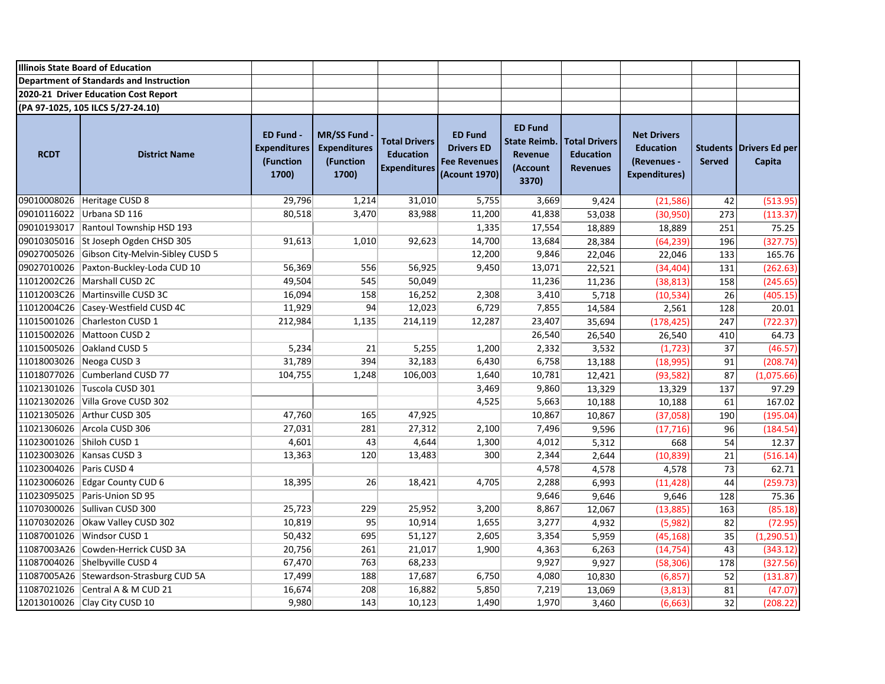|                           | <b>Illinois State Board of Education</b>       |                                                        |                                                                |                                                                 |                                                                             |                                                                              |                                                             |                                                                               |                                  |                                 |
|---------------------------|------------------------------------------------|--------------------------------------------------------|----------------------------------------------------------------|-----------------------------------------------------------------|-----------------------------------------------------------------------------|------------------------------------------------------------------------------|-------------------------------------------------------------|-------------------------------------------------------------------------------|----------------------------------|---------------------------------|
|                           | <b>Department of Standards and Instruction</b> |                                                        |                                                                |                                                                 |                                                                             |                                                                              |                                                             |                                                                               |                                  |                                 |
|                           | 2020-21 Driver Education Cost Report           |                                                        |                                                                |                                                                 |                                                                             |                                                                              |                                                             |                                                                               |                                  |                                 |
|                           | (PA 97-1025, 105 ILCS 5/27-24.10)              |                                                        |                                                                |                                                                 |                                                                             |                                                                              |                                                             |                                                                               |                                  |                                 |
| <b>RCDT</b>               | <b>District Name</b>                           | ED Fund -<br><b>Expenditures</b><br>(Function<br>1700) | <b>MR/SS Fund</b><br><b>Expenditures</b><br>(Function<br>1700) | <b>Total Drivers</b><br><b>Education</b><br><b>Expenditures</b> | <b>ED Fund</b><br><b>Drivers ED</b><br><b>Fee Revenues</b><br>(Acount 1970) | <b>ED Fund</b><br><b>State Reimb.</b><br><b>Revenue</b><br>(Account<br>3370) | <b>Total Drivers</b><br><b>Education</b><br><b>Revenues</b> | <b>Net Drivers</b><br><b>Education</b><br>(Revenues -<br><b>Expenditures)</b> | <b>Students</b><br><b>Served</b> | <b>Drivers Ed per</b><br>Capita |
|                           | 09010008026 Heritage CUSD 8                    | 29,796                                                 | 1,214                                                          | 31,010                                                          | 5,755                                                                       | 3,669                                                                        | 9,424                                                       | (21, 586)                                                                     | 42                               | (513.95)                        |
|                           | 09010116022 Urbana SD 116                      | 80,518                                                 | 3,470                                                          | 83,988                                                          | 11,200                                                                      | 41,838                                                                       | 53,038                                                      | (30, 950)                                                                     | 273                              | (113.37)                        |
|                           | 09010193017 Rantoul Township HSD 193           |                                                        |                                                                |                                                                 | 1,335                                                                       | 17,554                                                                       | 18,889                                                      | 18,889                                                                        | 251                              | 75.25                           |
|                           | 09010305016 St Joseph Ogden CHSD 305           | 91,613                                                 | 1,010                                                          | 92,623                                                          | 14,700                                                                      | 13,684                                                                       | 28,384                                                      | (64, 239)                                                                     | 196                              | (327.75)                        |
|                           | 09027005026 Gibson City-Melvin-Sibley CUSD 5   |                                                        |                                                                |                                                                 | 12,200                                                                      | 9,846                                                                        | 22,046                                                      | 22,046                                                                        | 133                              | 165.76                          |
|                           | 09027010026 Paxton-Buckley-Loda CUD 10         | 56,369                                                 | 556                                                            | 56,925                                                          | 9,450                                                                       | 13,071                                                                       | 22,521                                                      | (34, 404)                                                                     | 131                              | (262.63)                        |
|                           | 11012002C26   Marshall CUSD 2C                 | 49,504                                                 | 545                                                            | 50,049                                                          |                                                                             | 11,236                                                                       | 11,236                                                      | (38, 813)                                                                     | 158                              | (245.65)                        |
|                           | 11012003C26   Martinsville CUSD 3C             | 16,094                                                 | 158                                                            | 16,252                                                          | 2,308                                                                       | 3,410                                                                        | 5,718                                                       | (10, 534)                                                                     | 26                               | (405.15)                        |
|                           | 11012004C26 Casey-Westfield CUSD 4C            | 11,929                                                 | 94                                                             | 12,023                                                          | 6,729                                                                       | 7,855                                                                        | 14,584                                                      | 2,561                                                                         | 128                              | 20.01                           |
|                           | 11015001026 Charleston CUSD 1                  | 212,984                                                | 1,135                                                          | 214,119                                                         | 12,287                                                                      | 23,407                                                                       | 35,694                                                      | (178, 425)                                                                    | 247                              | (722.37)                        |
|                           | 11015002026 Mattoon CUSD 2                     |                                                        |                                                                |                                                                 |                                                                             | 26,540                                                                       | 26,540                                                      | 26,540                                                                        | 410                              | 64.73                           |
|                           | 11015005026 Oakland CUSD 5                     | 5,234                                                  | 21                                                             | 5,255                                                           | 1,200                                                                       | 2,332                                                                        | 3,532                                                       | (1, 723)                                                                      | 37                               | (46.57)                         |
| 11018003026 Neoga CUSD 3  |                                                | 31,789                                                 | 394                                                            | 32,183                                                          | 6,430                                                                       | 6,758                                                                        | 13,188                                                      | (18, 995)                                                                     | 91                               | (208.74)                        |
|                           | 11018077026 Cumberland CUSD 77                 | 104,755                                                | 1,248                                                          | 106,003                                                         | 1,640                                                                       | 10,781                                                                       | 12,421                                                      | (93, 582)                                                                     | 87                               | (1,075.66)                      |
|                           | 11021301026 Tuscola CUSD 301                   |                                                        |                                                                |                                                                 | 3,469                                                                       | 9,860                                                                        | 13,329                                                      | 13,329                                                                        | 137                              | 97.29                           |
|                           | 11021302026 Villa Grove CUSD 302               |                                                        |                                                                |                                                                 | 4,525                                                                       | 5,663                                                                        | 10,188                                                      | 10,188                                                                        | 61                               | 167.02                          |
|                           | 11021305026 Arthur CUSD 305                    | 47,760                                                 | 165                                                            | 47,925                                                          |                                                                             | 10,867                                                                       | 10,867                                                      | (37,058)                                                                      | 190                              | (195.04)                        |
|                           | 11021306026 Arcola CUSD 306                    | 27,031                                                 | 281                                                            | 27,312                                                          | 2,100                                                                       | 7,496                                                                        | 9,596                                                       | (17, 716)                                                                     | 96                               | (184.54)                        |
| 11023001026 Shiloh CUSD 1 |                                                | 4,601                                                  | 43                                                             | 4,644                                                           | 1,300                                                                       | 4,012                                                                        | 5,312                                                       | 668                                                                           | 54                               | 12.37                           |
|                           | 11023003026   Kansas CUSD 3                    | 13,363                                                 | 120                                                            | 13,483                                                          | 300                                                                         | 2,344                                                                        | 2,644                                                       | (10, 839)                                                                     | 21                               | (516.14)                        |
| 11023004026 Paris CUSD 4  |                                                |                                                        |                                                                |                                                                 |                                                                             | 4,578                                                                        | 4,578                                                       | 4,578                                                                         | 73                               | 62.71                           |
|                           | 11023006026 Edgar County CUD 6                 | 18,395                                                 | 26                                                             | 18,421                                                          | 4,705                                                                       | 2,288                                                                        | 6,993                                                       | (11, 428)                                                                     | 44                               | (259.73)                        |
|                           | 11023095025 Paris-Union SD 95                  |                                                        |                                                                |                                                                 |                                                                             | 9,646                                                                        | 9,646                                                       | 9,646                                                                         | 128                              | 75.36                           |
|                           | 11070300026 Sullivan CUSD 300                  | 25,723                                                 | 229                                                            | 25,952                                                          | 3,200                                                                       | 8,867                                                                        | 12,067                                                      | (13, 885)                                                                     | 163                              | (85.18)                         |
|                           | 11070302026 Okaw Valley CUSD 302               | 10,819                                                 | 95                                                             | 10,914                                                          | 1,655                                                                       | 3,277                                                                        | 4,932                                                       | (5,982)                                                                       | 82                               | (72.95)                         |
|                           | 11087001026 Windsor CUSD 1                     | 50,432                                                 | 695                                                            | 51,127                                                          | 2,605                                                                       | 3,354                                                                        | 5,959                                                       | (45, 168)                                                                     | 35                               | (1, 290.51)                     |
|                           | 11087003A26 Cowden-Herrick CUSD 3A             | 20,756                                                 | 261                                                            | 21,017                                                          | 1,900                                                                       | 4,363                                                                        | 6,263                                                       | (14, 754)                                                                     | 43                               | (343.12)                        |
|                           | 11087004026 Shelbyville CUSD 4                 | 67,470                                                 | 763                                                            | 68,233                                                          |                                                                             | 9,927                                                                        | 9,927                                                       | (58, 306)                                                                     | 178                              | (327.56)                        |
|                           | 11087005A26 Stewardson-Strasburg CUD 5A        | 17,499                                                 | 188                                                            | 17,687                                                          | 6,750                                                                       | 4,080                                                                        | 10,830                                                      | (6, 857)                                                                      | 52                               | (131.87)                        |
|                           | 11087021026 Central A & M CUD 21               | 16,674                                                 | 208                                                            | 16,882                                                          | 5,850                                                                       | 7,219                                                                        | 13,069                                                      | (3,813)                                                                       | 81                               | (47.07)                         |
|                           | 12013010026 Clay City CUSD 10                  | 9,980                                                  | 143                                                            | 10,123                                                          | 1,490                                                                       | 1,970                                                                        | 3,460                                                       | (6,663)                                                                       | 32                               | (208.22)                        |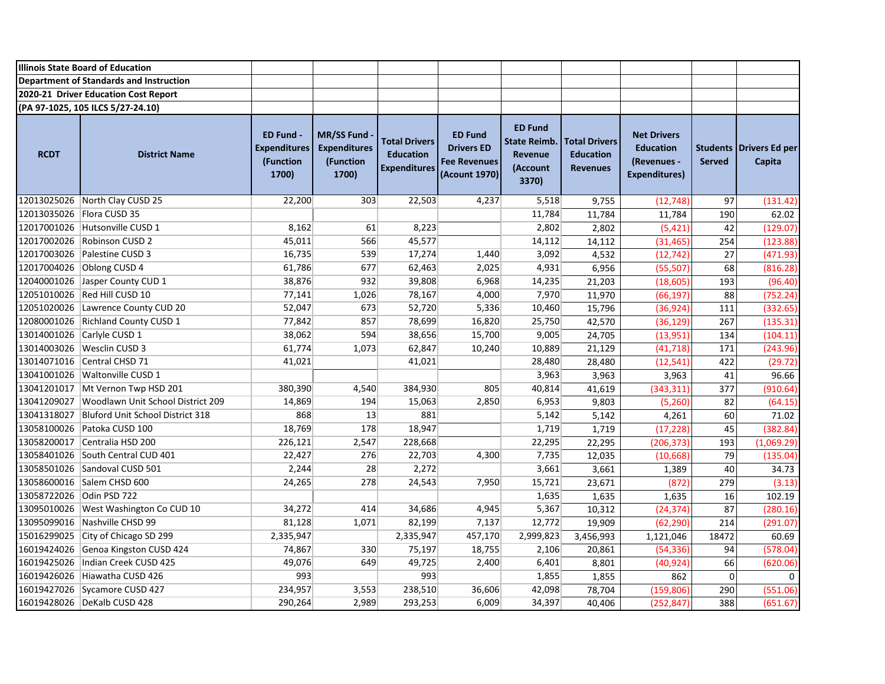|                             | <b>Illinois State Board of Education</b>     |                                                               |                                                                |                                                                 |                                                                             |                                                                       |                                                             |                                                                               |               |                                            |
|-----------------------------|----------------------------------------------|---------------------------------------------------------------|----------------------------------------------------------------|-----------------------------------------------------------------|-----------------------------------------------------------------------------|-----------------------------------------------------------------------|-------------------------------------------------------------|-------------------------------------------------------------------------------|---------------|--------------------------------------------|
|                             | Department of Standards and Instruction      |                                                               |                                                                |                                                                 |                                                                             |                                                                       |                                                             |                                                                               |               |                                            |
|                             | 2020-21 Driver Education Cost Report         |                                                               |                                                                |                                                                 |                                                                             |                                                                       |                                                             |                                                                               |               |                                            |
|                             | (PA 97-1025, 105 ILCS 5/27-24.10)            |                                                               |                                                                |                                                                 |                                                                             |                                                                       |                                                             |                                                                               |               |                                            |
| <b>RCDT</b>                 | <b>District Name</b>                         | <b>ED Fund -</b><br><b>Expenditures</b><br>(Function<br>1700) | <b>MR/SS Fund</b><br><b>Expenditures</b><br>(Function<br>1700) | <b>Total Drivers</b><br><b>Education</b><br><b>Expenditures</b> | <b>ED Fund</b><br><b>Drivers ED</b><br><b>Fee Revenues</b><br>(Acount 1970) | <b>ED Fund</b><br><b>State Reimb.</b><br>Revenue<br>(Account<br>3370) | <b>Total Drivers</b><br><b>Education</b><br><b>Revenues</b> | <b>Net Drivers</b><br><b>Education</b><br>(Revenues -<br><b>Expenditures)</b> | <b>Served</b> | <b>Students   Drivers Ed per</b><br>Capita |
|                             | 12013025026 North Clay CUSD 25               | 22,200                                                        | 303                                                            | 22,503                                                          | 4,237                                                                       | 5,518                                                                 | 9,755                                                       | (12, 748)                                                                     | 97            | (131.42)                                   |
| 12013035026   Flora CUSD 35 |                                              |                                                               |                                                                |                                                                 |                                                                             | 11,784                                                                | 11,784                                                      | 11,784                                                                        | 190           | 62.02                                      |
|                             | 12017001026 Hutsonville CUSD 1               | 8,162                                                         | 61                                                             | 8,223                                                           |                                                                             | 2,802                                                                 | 2,802                                                       | (5, 421)                                                                      | 42            | (129.07)                                   |
|                             | 12017002026 Robinson CUSD 2                  | 45,011                                                        | 566                                                            | 45,577                                                          |                                                                             | 14,112                                                                | 14,112                                                      | (31, 465)                                                                     | 254           | (123.88)                                   |
|                             | 12017003026 Palestine CUSD 3                 | 16,735                                                        | 539                                                            | 17,274                                                          | 1,440                                                                       | 3,092                                                                 | 4,532                                                       | (12, 742)                                                                     | 27            | (471.93)                                   |
|                             | 12017004026 Oblong CUSD 4                    | 61,786                                                        | 677                                                            | 62,463                                                          | 2,025                                                                       | 4,931                                                                 | 6,956                                                       | (55, 507)                                                                     | 68            | (816.28)                                   |
|                             | 12040001026 Jasper County CUD 1              | 38,876                                                        | 932                                                            | 39,808                                                          | 6,968                                                                       | 14,235                                                                | 21,203                                                      | (18, 605)                                                                     | 193           | (96.40)                                    |
|                             | 12051010026 Red Hill CUSD 10                 | 77,141                                                        | 1,026                                                          | 78,167                                                          | 4,000                                                                       | 7,970                                                                 | 11,970                                                      | (66, 197)                                                                     | 88            | (752.24)                                   |
|                             | 12051020026 Lawrence County CUD 20           | 52,047                                                        | 673                                                            | 52,720                                                          | 5,336                                                                       | 10,460                                                                | 15,796                                                      | (36, 924)                                                                     | 111           | (332.65)                                   |
|                             | 12080001026 Richland County CUSD 1           | 77,842                                                        | 857                                                            | 78,699                                                          | 16,820                                                                      | 25,750                                                                | 42,570                                                      | (36, 129)                                                                     | 267           | (135.31)                                   |
|                             | 13014001026 Carlyle CUSD 1                   | 38,062                                                        | 594                                                            | 38,656                                                          | 15,700                                                                      | 9,005                                                                 | 24,705                                                      | (13,951)                                                                      | 134           | (104.11)                                   |
|                             | 13014003026   Wesclin CUSD 3                 | 61,774                                                        | 1,073                                                          | 62,847                                                          | 10,240                                                                      | 10,889                                                                | 21,129                                                      | (41, 718)                                                                     | 171           | (243.96)                                   |
|                             | 13014071016 Central CHSD 71                  | 41,021                                                        |                                                                | 41,021                                                          |                                                                             | 28,480                                                                | 28,480                                                      | (12, 541)                                                                     | 422           | (29.72)                                    |
|                             | 13041001026 Waltonville CUSD 1               |                                                               |                                                                |                                                                 |                                                                             | 3,963                                                                 | 3,963                                                       | 3,963                                                                         | 41            | 96.66                                      |
|                             | 13041201017 Mt Vernon Twp HSD 201            | 380,390                                                       | 4,540                                                          | 384,930                                                         | 805                                                                         | 40,814                                                                | 41,619                                                      | (343, 311)                                                                    | 377           | (910.64)                                   |
| 13041209027                 | Woodlawn Unit School District 209            | 14,869                                                        | 194                                                            | 15,063                                                          | 2,850                                                                       | 6,953                                                                 | 9,803                                                       | (5, 260)                                                                      | 82            | (64.15)                                    |
|                             | 13041318027 Bluford Unit School District 318 | 868                                                           | 13                                                             | 881                                                             |                                                                             | 5,142                                                                 | 5,142                                                       | 4,261                                                                         | 60            | 71.02                                      |
|                             | 13058100026 Patoka CUSD 100                  | 18,769                                                        | 178                                                            | 18,947                                                          |                                                                             | 1,719                                                                 | 1,719                                                       | (17, 228)                                                                     | 45            | (382.84)                                   |
|                             | 13058200017 Centralia HSD 200                | 226,121                                                       | 2,547                                                          | 228,668                                                         |                                                                             | 22,295                                                                | 22,295                                                      | (206, 373)                                                                    | 193           | (1,069.29)                                 |
|                             | 13058401026 South Central CUD 401            | 22,427                                                        | 276                                                            | 22,703                                                          | 4,300                                                                       | 7,735                                                                 | 12,035                                                      | (10, 668)                                                                     | 79            | (135.04)                                   |
|                             | 13058501026 Sandoval CUSD 501                | 2,244                                                         | 28                                                             | 2,272                                                           |                                                                             | 3,661                                                                 | 3,661                                                       | 1,389                                                                         | 40            | 34.73                                      |
|                             | 13058600016 Salem CHSD 600                   | 24,265                                                        | 278                                                            | 24,543                                                          | 7,950                                                                       | 15,721                                                                | 23,671                                                      | (872)                                                                         | 279           | (3.13)                                     |
| 13058722026 Odin PSD 722    |                                              |                                                               |                                                                |                                                                 |                                                                             | 1,635                                                                 | 1,635                                                       | 1,635                                                                         | 16            | 102.19                                     |
|                             | 13095010026 West Washington Co CUD 10        | 34,272                                                        | 414                                                            | 34,686                                                          | 4,945                                                                       | 5,367                                                                 | 10,312                                                      | (24, 374)                                                                     | 87            | (280.16)                                   |
|                             | 13095099016 Nashville CHSD 99                | 81,128                                                        | 1,071                                                          | 82,199                                                          | 7,137                                                                       | 12,772                                                                | 19,909                                                      | (62, 290)                                                                     | 214           | (291.07)                                   |
|                             | 15016299025 City of Chicago SD 299           | 2,335,947                                                     |                                                                | 2,335,947                                                       | 457,170                                                                     | 2,999,823                                                             | 3,456,993                                                   | 1,121,046                                                                     | 18472         | 60.69                                      |
|                             | 16019424026 Genoa Kingston CUSD 424          | 74,867                                                        | 330                                                            | 75,197                                                          | 18,755                                                                      | 2,106                                                                 | 20,861                                                      | (54, 336)                                                                     | 94            | (578.04)                                   |
| 16019425026                 | Indian Creek CUSD 425                        | 49,076                                                        | 649                                                            | 49,725                                                          | 2,400                                                                       | 6,401                                                                 | 8,801                                                       | (40, 924)                                                                     | 66            | (620.06)                                   |
|                             | 16019426026 Hiawatha CUSD 426                | 993                                                           |                                                                | 993                                                             |                                                                             | 1,855                                                                 | 1,855                                                       | 862                                                                           | $\pmb{0}$     | 0                                          |
|                             | 16019427026 Sycamore CUSD 427                | 234,957                                                       | 3,553                                                          | 238,510                                                         | 36,606                                                                      | 42,098                                                                | 78,704                                                      | (159, 806)                                                                    | 290           | (551.06)                                   |
|                             | 16019428026 DeKalb CUSD 428                  | 290,264                                                       | 2,989                                                          | 293,253                                                         | 6,009                                                                       | 34,397                                                                | 40,406                                                      | (252, 847)                                                                    | 388           | (651.67)                                   |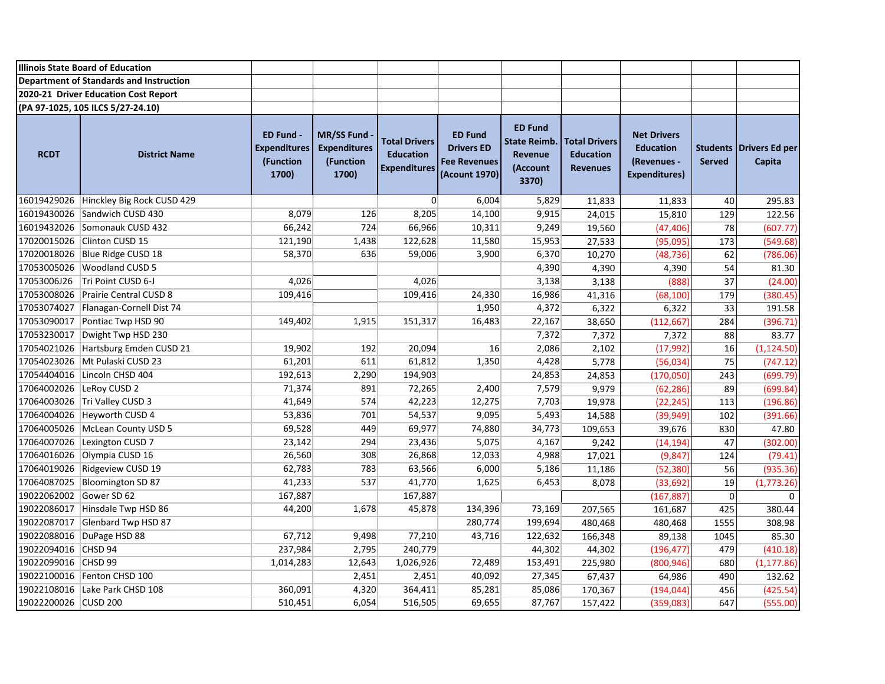|                          | <b>Illinois State Board of Education</b> |                                                               |                                                                |                                                                 |                                                                             |                                                                       |                                                             |                                                                               |                                  |                          |
|--------------------------|------------------------------------------|---------------------------------------------------------------|----------------------------------------------------------------|-----------------------------------------------------------------|-----------------------------------------------------------------------------|-----------------------------------------------------------------------|-------------------------------------------------------------|-------------------------------------------------------------------------------|----------------------------------|--------------------------|
|                          | Department of Standards and Instruction  |                                                               |                                                                |                                                                 |                                                                             |                                                                       |                                                             |                                                                               |                                  |                          |
|                          | 2020-21 Driver Education Cost Report     |                                                               |                                                                |                                                                 |                                                                             |                                                                       |                                                             |                                                                               |                                  |                          |
|                          | (PA 97-1025, 105 ILCS 5/27-24.10)        |                                                               |                                                                |                                                                 |                                                                             |                                                                       |                                                             |                                                                               |                                  |                          |
| <b>RCDT</b>              | <b>District Name</b>                     | <b>ED Fund -</b><br><b>Expenditures</b><br>(Function<br>1700) | <b>MR/SS Fund</b><br><b>Expenditures</b><br>(Function<br>1700) | <b>Total Drivers</b><br><b>Education</b><br><b>Expenditures</b> | <b>ED Fund</b><br><b>Drivers ED</b><br><b>Fee Revenues</b><br>(Acount 1970) | <b>ED Fund</b><br><b>State Reimb.</b><br>Revenue<br>(Account<br>3370) | <b>Total Drivers</b><br><b>Education</b><br><b>Revenues</b> | <b>Net Drivers</b><br><b>Education</b><br>(Revenues -<br><b>Expenditures)</b> | <b>Students</b><br><b>Served</b> | Drivers Ed per<br>Capita |
|                          | 16019429026 Hinckley Big Rock CUSD 429   |                                                               |                                                                | $\overline{0}$                                                  | 6,004                                                                       | 5,829                                                                 | 11,833                                                      | 11,833                                                                        | 40                               | 295.83                   |
|                          | 16019430026 Sandwich CUSD 430            | 8,079                                                         | 126                                                            | 8,205                                                           | 14,100                                                                      | 9,915                                                                 | 24,015                                                      | 15,810                                                                        | 129                              | 122.56                   |
|                          | 16019432026 Somonauk CUSD 432            | 66,242                                                        | 724                                                            | 66,966                                                          | 10,311                                                                      | 9,249                                                                 | 19,560                                                      | (47, 406)                                                                     | 78                               | (607.77)                 |
|                          | 17020015026 Clinton CUSD 15              | 121,190                                                       | 1,438                                                          | 122,628                                                         | 11,580                                                                      | 15,953                                                                | 27,533                                                      | (95,095)                                                                      | 173                              | (549.68)                 |
|                          | 17020018026 Blue Ridge CUSD 18           | 58,370                                                        | 636                                                            | 59,006                                                          | 3,900                                                                       | 6,370                                                                 | 10,270                                                      | (48, 736)                                                                     | 62                               | (786.06)                 |
|                          | 17053005026 Woodland CUSD 5              |                                                               |                                                                |                                                                 |                                                                             | 4,390                                                                 | 4,390                                                       | 4,390                                                                         | 54                               | 81.30                    |
| 17053006J26              | Tri Point CUSD 6-J                       | 4,026                                                         |                                                                | 4,026                                                           |                                                                             | 3,138                                                                 | 3,138                                                       | (888)                                                                         | 37                               | (24.00)                  |
|                          | 17053008026 Prairie Central CUSD 8       | 109,416                                                       |                                                                | 109,416                                                         | 24,330                                                                      | 16,986                                                                | 41,316                                                      | (68, 100)                                                                     | 179                              | (380.45)                 |
|                          | 17053074027   Flanagan-Cornell Dist 74   |                                                               |                                                                |                                                                 | 1,950                                                                       | 4,372                                                                 | 6,322                                                       | 6,322                                                                         | 33                               | 191.58                   |
|                          | 17053090017 Pontiac Twp HSD 90           | 149,402                                                       | 1,915                                                          | 151,317                                                         | 16,483                                                                      | 22,167                                                                | 38,650                                                      | (112, 667)                                                                    | 284                              | (396.71)                 |
|                          | 17053230017 Dwight Twp HSD 230           |                                                               |                                                                |                                                                 |                                                                             | 7,372                                                                 | 7,372                                                       | 7,372                                                                         | 88                               | 83.77                    |
|                          | 17054021026 Hartsburg Emden CUSD 21      | 19,902                                                        | 192                                                            | 20,094                                                          | 16                                                                          | 2,086                                                                 | 2,102                                                       | (17, 992)                                                                     | 16                               | (1, 124.50)              |
|                          | 17054023026 Mt Pulaski CUSD 23           | 61,201                                                        | 611                                                            | 61,812                                                          | 1,350                                                                       | 4,428                                                                 | 5,778                                                       | (56,034)                                                                      | 75                               | (747.12)                 |
|                          | 17054404016 Lincoln CHSD 404             | 192,613                                                       | 2,290                                                          | 194,903                                                         |                                                                             | 24,853                                                                | 24,853                                                      | (170, 050)                                                                    | 243                              | (699.79)                 |
| 17064002026 LeRoy CUSD 2 |                                          | 71,374                                                        | 891                                                            | 72,265                                                          | 2,400                                                                       | 7,579                                                                 | 9,979                                                       | (62, 286)                                                                     | 89                               | (699.84)                 |
|                          | 17064003026 Tri Valley CUSD 3            | 41,649                                                        | 574                                                            | 42,223                                                          | 12,275                                                                      | 7,703                                                                 | 19,978                                                      | (22, 245)                                                                     | 113                              | (196.86)                 |
|                          | 17064004026 Heyworth CUSD 4              | 53,836                                                        | 701                                                            | 54,537                                                          | 9,095                                                                       | 5,493                                                                 | 14,588                                                      | (39, 949)                                                                     | 102                              | (391.66)                 |
|                          | 17064005026 McLean County USD 5          | 69,528                                                        | 449                                                            | 69,977                                                          | 74,880                                                                      | 34,773                                                                | 109,653                                                     | 39,676                                                                        | 830                              | 47.80                    |
|                          | 17064007026 Lexington CUSD 7             | 23,142                                                        | 294                                                            | 23,436                                                          | 5,075                                                                       | 4,167                                                                 | 9,242                                                       | (14, 194)                                                                     | 47                               | (302.00)                 |
|                          | 17064016026 Olympia CUSD 16              | 26,560                                                        | 308                                                            | 26,868                                                          | 12,033                                                                      | 4,988                                                                 | 17,021                                                      | (9, 847)                                                                      | 124                              | (79.41)                  |
|                          | 17064019026 Ridgeview CUSD 19            | 62,783                                                        | 783                                                            | 63,566                                                          | 6,000                                                                       | 5,186                                                                 | 11,186                                                      | (52, 380)                                                                     | 56                               | (935.36)                 |
|                          | 17064087025 Bloomington SD 87            | 41,233                                                        | 537                                                            | 41,770                                                          | 1,625                                                                       | 6,453                                                                 | 8,078                                                       | (33, 692)                                                                     | 19                               | (1,773.26)               |
| 19022062002 Gower SD 62  |                                          | 167,887                                                       |                                                                | 167,887                                                         |                                                                             |                                                                       |                                                             | (167, 887)                                                                    | 0                                | $\Omega$                 |
| 19022086017              | Hinsdale Twp HSD 86                      | 44,200                                                        | 1,678                                                          | 45,878                                                          | 134,396                                                                     | 73,169                                                                | 207,565                                                     | 161,687                                                                       | 425                              | 380.44                   |
|                          | 19022087017 Glenbard Twp HSD 87          |                                                               |                                                                |                                                                 | 280,774                                                                     | 199,694                                                               | 480,468                                                     | 480,468                                                                       | 1555                             | 308.98                   |
|                          | 19022088016 DuPage HSD 88                | 67,712                                                        | 9,498                                                          | 77,210                                                          | 43,716                                                                      | 122,632                                                               | 166,348                                                     | 89,138                                                                        | 1045                             | 85.30                    |
| 19022094016 CHSD 94      |                                          | 237,984                                                       | 2,795                                                          | 240,779                                                         |                                                                             | 44,302                                                                | 44,302                                                      | (196, 477)                                                                    | 479                              | (410.18)                 |
| 19022099016 CHSD 99      |                                          | 1,014,283                                                     | 12,643                                                         | 1,026,926                                                       | 72,489                                                                      | 153,491                                                               | 225,980                                                     | (800, 946)                                                                    | 680                              | (1, 177.86)              |
|                          | 19022100016 Fenton CHSD 100              |                                                               | 2,451                                                          | 2,451                                                           | 40,092                                                                      | 27,345                                                                | 67,437                                                      | 64,986                                                                        | 490                              | 132.62                   |
|                          | 19022108016   Lake Park CHSD 108         | 360,091                                                       | 4,320                                                          | 364,411                                                         | 85,281                                                                      | 85,086                                                                | 170,367                                                     | (194, 044)                                                                    | 456                              | (425.54)                 |
| 19022200026 CUSD 200     |                                          | 510,451                                                       | 6,054                                                          | 516,505                                                         | 69,655                                                                      | 87,767                                                                | 157,422                                                     | (359,083)                                                                     | 647                              | (555.00)                 |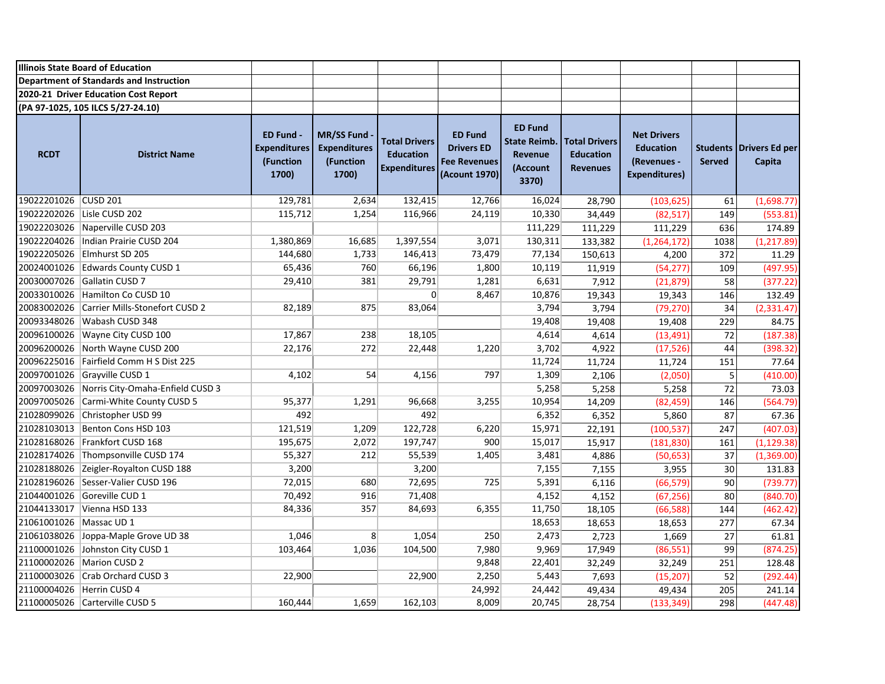|                           | <b>Illinois State Board of Education</b>   |                                                        |                                                                |                                                                 |                                                                             |                                                                              |                                                             |                                                                               |                                  |                                 |
|---------------------------|--------------------------------------------|--------------------------------------------------------|----------------------------------------------------------------|-----------------------------------------------------------------|-----------------------------------------------------------------------------|------------------------------------------------------------------------------|-------------------------------------------------------------|-------------------------------------------------------------------------------|----------------------------------|---------------------------------|
|                           | Department of Standards and Instruction    |                                                        |                                                                |                                                                 |                                                                             |                                                                              |                                                             |                                                                               |                                  |                                 |
|                           | 2020-21 Driver Education Cost Report       |                                                        |                                                                |                                                                 |                                                                             |                                                                              |                                                             |                                                                               |                                  |                                 |
|                           | (PA 97-1025, 105 ILCS 5/27-24.10)          |                                                        |                                                                |                                                                 |                                                                             |                                                                              |                                                             |                                                                               |                                  |                                 |
| <b>RCDT</b>               | <b>District Name</b>                       | ED Fund -<br><b>Expenditures</b><br>(Function<br>1700) | <b>MR/SS Fund</b><br><b>Expenditures</b><br>(Function<br>1700) | <b>Total Drivers</b><br><b>Education</b><br><b>Expenditures</b> | <b>ED Fund</b><br><b>Drivers ED</b><br><b>Fee Revenues</b><br>(Acount 1970) | <b>ED Fund</b><br><b>State Reimb.</b><br><b>Revenue</b><br>(Account<br>3370) | <b>Total Drivers</b><br><b>Education</b><br><b>Revenues</b> | <b>Net Drivers</b><br><b>Education</b><br>(Revenues -<br><b>Expenditures)</b> | <b>Students</b><br><b>Served</b> | <b>Drivers Ed per</b><br>Capita |
| 19022201026 CUSD 201      |                                            | 129,781                                                | 2,634                                                          | 132,415                                                         | 12,766                                                                      | 16,024                                                                       | 28,790                                                      | (103, 625)                                                                    | 61                               | (1,698.77)                      |
|                           | 19022202026 Lisle CUSD 202                 | 115,712                                                | 1,254                                                          | 116,966                                                         | 24,119                                                                      | 10,330                                                                       | 34,449                                                      | (82, 517)                                                                     | 149                              | (553.81)                        |
|                           | 19022203026 Naperville CUSD 203            |                                                        |                                                                |                                                                 |                                                                             | 111,229                                                                      | 111,229                                                     | 111,229                                                                       | 636                              | 174.89                          |
|                           | 19022204026   Indian Prairie CUSD 204      | 1,380,869                                              | 16,685                                                         | 1,397,554                                                       | 3,071                                                                       | 130,311                                                                      | 133,382                                                     | (1, 264, 172)                                                                 | 1038                             | (1, 217.89)                     |
|                           | 19022205026 Elmhurst SD 205                | 144,680                                                | 1,733                                                          | 146,413                                                         | 73,479                                                                      | 77,134                                                                       | 150,613                                                     | 4,200                                                                         | 372                              | 11.29                           |
|                           | 20024001026 Edwards County CUSD 1          | 65,436                                                 | 760                                                            | 66,196                                                          | 1,800                                                                       | 10,119                                                                       | 11,919                                                      | (54, 277)                                                                     | 109                              | (497.95)                        |
|                           | 20030007026 Gallatin CUSD 7                | 29,410                                                 | 381                                                            | 29,791                                                          | 1,281                                                                       | 6,631                                                                        | 7,912                                                       | (21, 879)                                                                     | 58                               | (377.22)                        |
|                           | 20033010026 Hamilton Co CUSD 10            |                                                        |                                                                | $\overline{0}$                                                  | 8,467                                                                       | 10,876                                                                       | 19,343                                                      | 19,343                                                                        | 146                              | 132.49                          |
|                           | 20083002026 Carrier Mills-Stonefort CUSD 2 | 82,189                                                 | 875                                                            | 83,064                                                          |                                                                             | 3,794                                                                        | 3,794                                                       | (79, 270)                                                                     | 34                               | (2, 331.47)                     |
|                           | 20093348026 Wabash CUSD 348                |                                                        |                                                                |                                                                 |                                                                             | 19,408                                                                       | 19,408                                                      | 19,408                                                                        | 229                              | 84.75                           |
|                           | 20096100026 Wayne City CUSD 100            | 17,867                                                 | 238                                                            | 18,105                                                          |                                                                             | 4,614                                                                        | 4,614                                                       | (13, 491)                                                                     | 72                               | (187.38)                        |
|                           | 20096200026 North Wayne CUSD 200           | 22,176                                                 | 272                                                            | 22,448                                                          | 1,220                                                                       | 3,702                                                                        | 4,922                                                       | (17, 526)                                                                     | 44                               | (398.32)                        |
|                           | 20096225016 Fairfield Comm H S Dist 225    |                                                        |                                                                |                                                                 |                                                                             | 11,724                                                                       | 11,724                                                      | 11,724                                                                        | 151                              | 77.64                           |
|                           | 20097001026 Grayville CUSD 1               | 4,102                                                  | 54                                                             | 4,156                                                           | 797                                                                         | 1,309                                                                        | 2,106                                                       | (2,050)                                                                       | 5                                | (410.00)                        |
| 20097003026               | Norris City-Omaha-Enfield CUSD 3           |                                                        |                                                                |                                                                 |                                                                             | 5,258                                                                        | 5,258                                                       | 5,258                                                                         | 72                               | 73.03                           |
|                           | 20097005026 Carmi-White County CUSD 5      | 95,377                                                 | 1,291                                                          | 96,668                                                          | 3,255                                                                       | 10,954                                                                       | 14,209                                                      | (82, 459)                                                                     | 146                              | (564.79)                        |
| 21028099026               | Christopher USD 99                         | 492                                                    |                                                                | 492                                                             |                                                                             | 6,352                                                                        | 6,352                                                       | 5,860                                                                         | 87                               | 67.36                           |
|                           | 21028103013 Benton Cons HSD 103            | 121,519                                                | 1,209                                                          | 122,728                                                         | 6,220                                                                       | 15,971                                                                       | 22,191                                                      | (100, 537)                                                                    | 247                              | (407.03)                        |
|                           | 21028168026 Frankfort CUSD 168             | 195,675                                                | 2,072                                                          | 197,747                                                         | 900                                                                         | 15,017                                                                       | 15,917                                                      | (181, 830)                                                                    | 161                              | (1, 129.38)                     |
|                           | 21028174026 Thompsonville CUSD 174         | 55,327                                                 | 212                                                            | 55,539                                                          | 1,405                                                                       | 3,481                                                                        | 4,886                                                       | (50, 653)                                                                     | 37                               | (1,369.00)                      |
|                           | 21028188026 Zeigler-Royalton CUSD 188      | 3,200                                                  |                                                                | 3,200                                                           |                                                                             | 7,155                                                                        | 7,155                                                       | 3,955                                                                         | 30                               | 131.83                          |
|                           | 21028196026 Sesser-Valier CUSD 196         | 72,015                                                 | 680                                                            | 72,695                                                          | 725                                                                         | 5,391                                                                        | 6,116                                                       | (66, 579)                                                                     | 90                               | (739.77)                        |
| 21044001026               | Goreville CUD 1                            | 70,492                                                 | 916                                                            | 71,408                                                          |                                                                             | 4,152                                                                        | 4,152                                                       | (67, 256)                                                                     | 80                               | (840.70)                        |
|                           | 21044133017 Vienna HSD 133                 | 84,336                                                 | 357                                                            | 84,693                                                          | 6,355                                                                       | 11,750                                                                       | 18,105                                                      | (66, 588)                                                                     | 144                              | (462.42)                        |
| 21061001026 Massac UD 1   |                                            |                                                        |                                                                |                                                                 |                                                                             | 18,653                                                                       | 18,653                                                      | 18,653                                                                        | 277                              | 67.34                           |
|                           | 21061038026 Joppa-Maple Grove UD 38        | 1,046                                                  | 8 <sup>°</sup>                                                 | 1,054                                                           | 250                                                                         | 2,473                                                                        | 2,723                                                       | 1,669                                                                         | 27                               | 61.81                           |
|                           | 21100001026 Johnston City CUSD 1           | 103,464                                                | 1,036                                                          | 104,500                                                         | 7,980                                                                       | 9,969                                                                        | 17,949                                                      | (86, 551)                                                                     | 99                               | (874.25)                        |
|                           | 21100002026 Marion CUSD 2                  |                                                        |                                                                |                                                                 | 9,848                                                                       | 22,401                                                                       | 32,249                                                      | 32,249                                                                        | 251                              | 128.48                          |
|                           | 21100003026 Crab Orchard CUSD 3            | 22,900                                                 |                                                                | 22,900                                                          | 2,250                                                                       | 5,443                                                                        | 7,693                                                       | (15, 207)                                                                     | 52                               | (292.44)                        |
| 21100004026 Herrin CUSD 4 |                                            |                                                        |                                                                |                                                                 | 24,992                                                                      | 24,442                                                                       | 49,434                                                      | 49,434                                                                        | 205                              | 241.14                          |
|                           | 21100005026 Carterville CUSD 5             | 160,444                                                | 1,659                                                          | 162,103                                                         | 8,009                                                                       | 20,745                                                                       | 28,754                                                      | (133, 349)                                                                    | 298                              | (447.48)                        |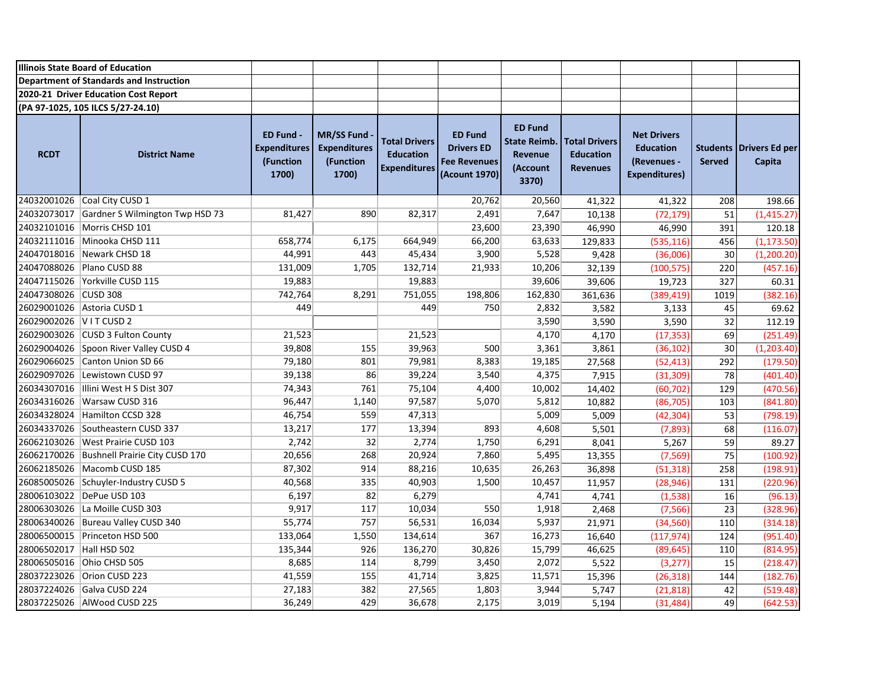|                          | <b>Illinois State Board of Education</b>   |                                                               |                                                                |                                                                 |                                                                             |                                                                       |                                                             |                                                                               |                                  |                          |
|--------------------------|--------------------------------------------|---------------------------------------------------------------|----------------------------------------------------------------|-----------------------------------------------------------------|-----------------------------------------------------------------------------|-----------------------------------------------------------------------|-------------------------------------------------------------|-------------------------------------------------------------------------------|----------------------------------|--------------------------|
|                          | Department of Standards and Instruction    |                                                               |                                                                |                                                                 |                                                                             |                                                                       |                                                             |                                                                               |                                  |                          |
|                          | 2020-21 Driver Education Cost Report       |                                                               |                                                                |                                                                 |                                                                             |                                                                       |                                                             |                                                                               |                                  |                          |
|                          | (PA 97-1025, 105 ILCS 5/27-24.10)          |                                                               |                                                                |                                                                 |                                                                             |                                                                       |                                                             |                                                                               |                                  |                          |
| <b>RCDT</b>              | <b>District Name</b>                       | <b>ED Fund -</b><br><b>Expenditures</b><br>(Function<br>1700) | <b>MR/SS Fund</b><br><b>Expenditures</b><br>(Function<br>1700) | <b>Total Drivers</b><br><b>Education</b><br><b>Expenditures</b> | <b>ED Fund</b><br><b>Drivers ED</b><br><b>Fee Revenues</b><br>(Acount 1970) | <b>ED Fund</b><br><b>State Reimb.</b><br>Revenue<br>(Account<br>3370) | <b>Total Drivers</b><br><b>Education</b><br><b>Revenues</b> | <b>Net Drivers</b><br><b>Education</b><br>(Revenues -<br><b>Expenditures)</b> | <b>Students</b><br><b>Served</b> | Drivers Ed per<br>Capita |
|                          | 24032001026 Coal City CUSD 1               |                                                               |                                                                |                                                                 | 20,762                                                                      | 20,560                                                                | 41,322                                                      | 41,322                                                                        | 208                              | 198.66                   |
| 24032073017              | Gardner S Wilmington Twp HSD 73            | 81,427                                                        | 890                                                            | 82,317                                                          | 2,491                                                                       | 7,647                                                                 | 10,138                                                      | (72, 179)                                                                     | 51                               | (1, 415.27)              |
|                          | 24032101016 Morris CHSD 101                |                                                               |                                                                |                                                                 | 23,600                                                                      | 23,390                                                                | 46,990                                                      | 46,990                                                                        | 391                              | 120.18                   |
|                          | 24032111016 Minooka CHSD 111               | 658,774                                                       | 6,175                                                          | 664,949                                                         | 66,200                                                                      | 63,633                                                                | 129,833                                                     | (535, 116)                                                                    | 456                              | (1, 173.50)              |
|                          | 24047018016 Newark CHSD 18                 | 44,991                                                        | 443                                                            | 45,434                                                          | 3,900                                                                       | 5,528                                                                 | 9,428                                                       | (36,006)                                                                      | 30                               | (1, 200.20)              |
|                          | 24047088026 Plano CUSD 88                  | 131,009                                                       | 1,705                                                          | 132,714                                                         | 21,933                                                                      | 10,206                                                                | 32,139                                                      | (100, 575)                                                                    | 220                              | (457.16)                 |
|                          | 24047115026 Yorkville CUSD 115             | 19,883                                                        |                                                                | 19,883                                                          |                                                                             | 39,606                                                                | 39,606                                                      | 19,723                                                                        | 327                              | 60.31                    |
| 24047308026 CUSD 308     |                                            | 742,764                                                       | 8,291                                                          | 751,055                                                         | 198,806                                                                     | 162,830                                                               | 361,636                                                     | (389, 419)                                                                    | 1019                             | (382.16)                 |
|                          | 26029001026 Astoria CUSD 1                 | 449                                                           |                                                                | 449                                                             | 750                                                                         | 2,832                                                                 | 3,582                                                       | 3,133                                                                         | 45                               | 69.62                    |
| 26029002026 V I T CUSD 2 |                                            |                                                               |                                                                |                                                                 |                                                                             | 3,590                                                                 | 3,590                                                       | 3,590                                                                         | 32                               | 112.19                   |
|                          | 26029003026 CUSD 3 Fulton County           | 21,523                                                        |                                                                | 21,523                                                          |                                                                             | 4,170                                                                 | 4,170                                                       | (17, 353)                                                                     | 69                               | (251.49)                 |
|                          | 26029004026 Spoon River Valley CUSD 4      | 39,808                                                        | 155                                                            | 39,963                                                          | 500                                                                         | 3,361                                                                 | 3,861                                                       | (36, 102)                                                                     | 30                               | (1, 203.40)              |
| 26029066025              | Canton Union SD 66                         | 79,180                                                        | 801                                                            | 79,981                                                          | 8,383                                                                       | 19,185                                                                | 27,568                                                      | (52, 413)                                                                     | 292                              | (179.50)                 |
|                          | 26029097026 Lewistown CUSD 97              | 39,138                                                        | 86                                                             | 39,224                                                          | 3,540                                                                       | 4,375                                                                 | 7,915                                                       | (31, 309)                                                                     | 78                               | (401.40)                 |
|                          | 26034307016   Illini West H S Dist 307     | 74,343                                                        | 761                                                            | 75,104                                                          | 4,400                                                                       | 10,002                                                                | 14,402                                                      | (60, 702)                                                                     | 129                              | (470.56)                 |
|                          | 26034316026 Warsaw CUSD 316                | 96,447                                                        | 1,140                                                          | 97,587                                                          | 5,070                                                                       | 5,812                                                                 | 10,882                                                      | (86, 705)                                                                     | 103                              | (841.80)                 |
|                          | 26034328024 Hamilton CCSD 328              | 46,754                                                        | 559                                                            | 47,313                                                          |                                                                             | 5,009                                                                 | 5,009                                                       | (42, 304)                                                                     | 53                               | (798.19)                 |
|                          | 26034337026 Southeastern CUSD 337          | 13,217                                                        | 177                                                            | 13,394                                                          | 893                                                                         | 4,608                                                                 | 5,501                                                       | (7, 893)                                                                      | 68                               | (116.07)                 |
|                          | 26062103026 West Prairie CUSD 103          | 2,742                                                         | 32                                                             | 2,774                                                           | 1,750                                                                       | 6,291                                                                 | 8,041                                                       | 5,267                                                                         | 59                               | 89.27                    |
|                          | 26062170026 Bushnell Prairie City CUSD 170 | 20,656                                                        | 268                                                            | 20,924                                                          | 7,860                                                                       | 5,495                                                                 | 13,355                                                      | (7, 569)                                                                      | 75                               | (100.92)                 |
|                          | 26062185026 Macomb CUSD 185                | 87,302                                                        | 914                                                            | 88,216                                                          | 10,635                                                                      | 26,263                                                                | 36,898                                                      | (51, 318)                                                                     | 258                              | (198.91)                 |
|                          | 26085005026 Schuyler-Industry CUSD 5       | 40,568                                                        | 335                                                            | 40,903                                                          | 1,500                                                                       | 10,457                                                                | 11,957                                                      | (28, 946)                                                                     | 131                              | (220.96)                 |
|                          | 28006103022 DePue USD 103                  | 6,197                                                         | 82                                                             | 6,279                                                           |                                                                             | 4,741                                                                 | 4,741                                                       | (1, 538)                                                                      | 16                               | (96.13)                  |
|                          | 28006303026 La Moille CUSD 303             | 9,917                                                         | 117                                                            | 10,034                                                          | 550                                                                         | 1,918                                                                 | 2,468                                                       | (7, 566)                                                                      | 23                               | (328.96)                 |
|                          | 28006340026 Bureau Valley CUSD 340         | 55,774                                                        | 757                                                            | 56,531                                                          | 16,034                                                                      | 5,937                                                                 | 21,971                                                      | (34, 560)                                                                     | 110                              | (314.18)                 |
|                          | 28006500015 Princeton HSD 500              | 133,064                                                       | 1,550                                                          | 134,614                                                         | 367                                                                         | 16,273                                                                | 16,640                                                      | (117, 974)                                                                    | 124                              | (951.40)                 |
| 28006502017 Hall HSD 502 |                                            | 135,344                                                       | 926                                                            | 136,270                                                         | 30,826                                                                      | 15,799                                                                | 46,625                                                      | (89, 645)                                                                     | 110                              | (814.95)                 |
|                          | 28006505016 Ohio CHSD 505                  | 8,685                                                         | 114                                                            | 8,799                                                           | 3,450                                                                       | 2,072                                                                 | 5,522                                                       | (3, 277)                                                                      | 15                               | (218.47)                 |
|                          | 28037223026 Orion CUSD 223                 | 41,559                                                        | 155                                                            | 41,714                                                          | 3,825                                                                       | 11,571                                                                | 15,396                                                      | (26, 318)                                                                     | 144                              | (182.76)                 |
|                          | 28037224026 Galva CUSD 224                 | 27,183                                                        | 382                                                            | 27,565                                                          | 1,803                                                                       | 3,944                                                                 | 5,747                                                       | (21, 818)                                                                     | 42                               | (519.48)                 |
|                          | 28037225026 AlWood CUSD 225                | 36,249                                                        | 429                                                            | 36,678                                                          | 2,175                                                                       | 3,019                                                                 | 5,194                                                       | (31, 484)                                                                     | 49                               | (642.53)                 |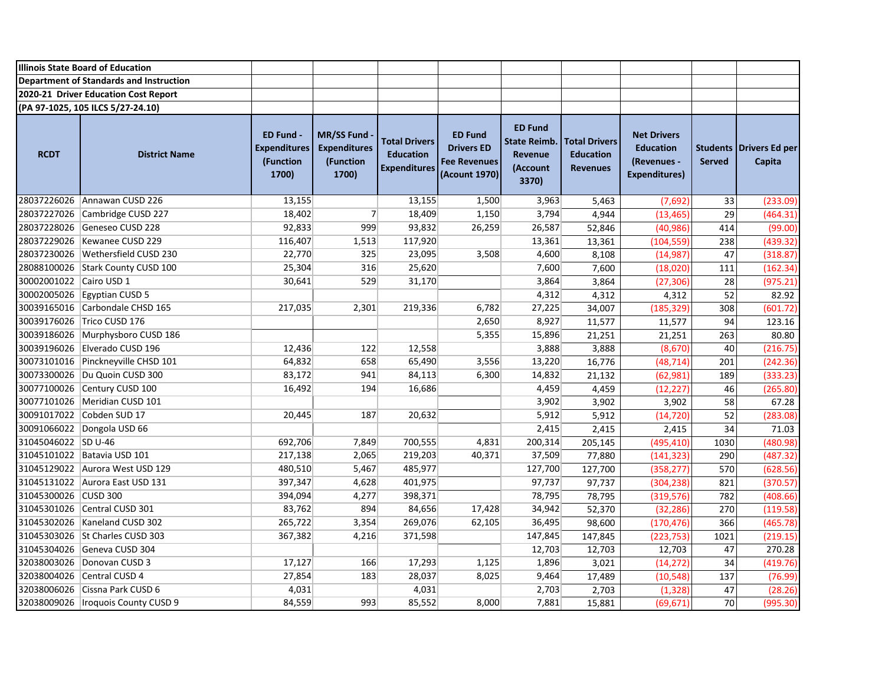|                         | <b>Illinois State Board of Education</b> |                                                        |                                                                |                                                                 |                                                                             |                                                                       |                                                             |                                                                               |               |                                   |
|-------------------------|------------------------------------------|--------------------------------------------------------|----------------------------------------------------------------|-----------------------------------------------------------------|-----------------------------------------------------------------------------|-----------------------------------------------------------------------|-------------------------------------------------------------|-------------------------------------------------------------------------------|---------------|-----------------------------------|
|                         | Department of Standards and Instruction  |                                                        |                                                                |                                                                 |                                                                             |                                                                       |                                                             |                                                                               |               |                                   |
|                         | 2020-21 Driver Education Cost Report     |                                                        |                                                                |                                                                 |                                                                             |                                                                       |                                                             |                                                                               |               |                                   |
|                         | (PA 97-1025, 105 ILCS 5/27-24.10)        |                                                        |                                                                |                                                                 |                                                                             |                                                                       |                                                             |                                                                               |               |                                   |
| <b>RCDT</b>             | <b>District Name</b>                     | ED Fund -<br><b>Expenditures</b><br>(Function<br>1700) | <b>MR/SS Fund</b><br><b>Expenditures</b><br>(Function<br>1700) | <b>Total Drivers</b><br><b>Education</b><br><b>Expenditures</b> | <b>ED Fund</b><br><b>Drivers ED</b><br><b>Fee Revenues</b><br>(Acount 1970) | <b>ED Fund</b><br><b>State Reimb.</b><br>Revenue<br>(Account<br>3370) | <b>Total Drivers</b><br><b>Education</b><br><b>Revenues</b> | <b>Net Drivers</b><br><b>Education</b><br>(Revenues -<br><b>Expenditures)</b> | <b>Served</b> | Students Drivers Ed per<br>Capita |
|                         | 28037226026 Annawan CUSD 226             | 13,155                                                 |                                                                | 13,155                                                          | 1,500                                                                       | 3,963                                                                 | 5,463                                                       | (7,692)                                                                       | 33            | (233.09)                          |
|                         | 28037227026 Cambridge CUSD 227           | 18,402                                                 | 7                                                              | 18,409                                                          | 1,150                                                                       | 3,794                                                                 | 4,944                                                       | (13, 465)                                                                     | 29            | (464.31)                          |
|                         | 28037228026 Geneseo CUSD 228             | 92,833                                                 | 999                                                            | 93,832                                                          | 26,259                                                                      | 26,587                                                                | 52,846                                                      | (40, 986)                                                                     | 414           | (99.00)                           |
|                         | 28037229026 Kewanee CUSD 229             | 116,407                                                | 1,513                                                          | 117,920                                                         |                                                                             | 13,361                                                                | 13,361                                                      | (104, 559)                                                                    | 238           | (439.32)                          |
|                         | 28037230026 Wethersfield CUSD 230        | 22,770                                                 | 325                                                            | 23,095                                                          | 3,508                                                                       | 4,600                                                                 | 8,108                                                       | (14, 987)                                                                     | 47            | (318.87)                          |
|                         | 28088100026 Stark County CUSD 100        | 25,304                                                 | 316                                                            | 25,620                                                          |                                                                             | 7,600                                                                 | 7,600                                                       | (18,020)                                                                      | 111           | (162.34)                          |
| 30002001022 Cairo USD 1 |                                          | 30,641                                                 | 529                                                            | 31,170                                                          |                                                                             | 3,864                                                                 | 3,864                                                       | (27, 306)                                                                     | 28            | (975.21)                          |
|                         | 30002005026 Egyptian CUSD 5              |                                                        |                                                                |                                                                 |                                                                             | 4,312                                                                 | 4,312                                                       | 4,312                                                                         | 52            | 82.92                             |
|                         | 30039165016 Carbondale CHSD 165          | 217,035                                                | 2,301                                                          | 219,336                                                         | 6,782                                                                       | 27,225                                                                | 34,007                                                      | (185, 329)                                                                    | 308           | (601.72)                          |
|                         | 30039176026 Trico CUSD 176               |                                                        |                                                                |                                                                 | 2,650                                                                       | 8,927                                                                 | 11,577                                                      | 11,577                                                                        | 94            | 123.16                            |
|                         | 30039186026 Murphysboro CUSD 186         |                                                        |                                                                |                                                                 | 5,355                                                                       | 15,896                                                                | 21,251                                                      | 21,251                                                                        | 263           | 80.80                             |
|                         | 30039196026 Elverado CUSD 196            | 12,436                                                 | 122                                                            | 12,558                                                          |                                                                             | 3,888                                                                 | 3,888                                                       | (8,670)                                                                       | 40            | (216.75)                          |
|                         | 30073101016 Pinckneyville CHSD 101       | 64,832                                                 | 658                                                            | 65,490                                                          | 3,556                                                                       | 13,220                                                                | 16,776                                                      | (48, 714)                                                                     | 201           | (242.36)                          |
|                         | 30073300026   Du Quoin CUSD 300          | 83,172                                                 | 941                                                            | 84,113                                                          | 6,300                                                                       | 14,832                                                                | 21,132                                                      | (62, 981)                                                                     | 189           | (333.23)                          |
|                         | 30077100026 Century CUSD 100             | 16,492                                                 | 194                                                            | 16,686                                                          |                                                                             | 4,459                                                                 | 4,459                                                       | (12, 227)                                                                     | 46            | (265.80)                          |
|                         | 30077101026 Meridian CUSD 101            |                                                        |                                                                |                                                                 |                                                                             | 3,902                                                                 | 3,902                                                       | 3,902                                                                         | 58            | 67.28                             |
|                         | 30091017022 Cobden SUD 17                | 20,445                                                 | 187                                                            | 20,632                                                          |                                                                             | 5,912                                                                 | 5,912                                                       | (14, 720)                                                                     | 52            | (283.08)                          |
|                         | 30091066022 Dongola USD 66               |                                                        |                                                                |                                                                 |                                                                             | 2,415                                                                 | 2,415                                                       | 2,415                                                                         | 34            | 71.03                             |
| 31045046022 SD U-46     |                                          | 692,706                                                | 7,849                                                          | 700,555                                                         | 4,831                                                                       | 200,314                                                               | 205,145                                                     | (495, 410)                                                                    | 1030          | (480.98)                          |
|                         | 31045101022 Batavia USD 101              | 217,138                                                | 2,065                                                          | 219,203                                                         | 40,371                                                                      | 37,509                                                                | 77,880                                                      | (141, 323)                                                                    | 290           | (487.32)                          |
|                         | 31045129022 Aurora West USD 129          | 480,510                                                | 5,467                                                          | 485,977                                                         |                                                                             | 127,700                                                               | 127,700                                                     | (358, 277)                                                                    | 570           | (628.56)                          |
|                         | 31045131022 Aurora East USD 131          | 397,347                                                | 4,628                                                          | 401,975                                                         |                                                                             | 97,737                                                                | 97,737                                                      | (304, 238)                                                                    | 821           | (370.57)                          |
| 31045300026 CUSD 300    |                                          | 394,094                                                | 4,277                                                          | 398,371                                                         |                                                                             | 78,795                                                                | 78,795                                                      | (319, 576)                                                                    | 782           | (408.66)                          |
|                         | 31045301026 Central CUSD 301             | 83,762                                                 | 894                                                            | 84,656                                                          | 17,428                                                                      | 34,942                                                                | 52,370                                                      | (32, 286)                                                                     | 270           | (119.58)                          |
|                         | 31045302026 Kaneland CUSD 302            | 265,722                                                | 3,354                                                          | 269,076                                                         | 62,105                                                                      | 36,495                                                                | 98,600                                                      | (170, 476)                                                                    | 366           | (465.78)                          |
|                         | 31045303026 St Charles CUSD 303          | 367,382                                                | 4,216                                                          | 371,598                                                         |                                                                             | 147,845                                                               | 147,845                                                     | (223, 753)                                                                    | 1021          | (219.15)                          |
|                         | 31045304026 Geneva CUSD 304              |                                                        |                                                                |                                                                 |                                                                             | 12,703                                                                | 12,703                                                      | 12,703                                                                        | 47            | 270.28                            |
|                         | 32038003026 Donovan CUSD 3               | 17,127                                                 | 166                                                            | 17,293                                                          | 1,125                                                                       | 1,896                                                                 | 3,021                                                       | (14, 272)                                                                     | 34            | (419.76)                          |
|                         | 32038004026 Central CUSD 4               | 27,854                                                 | 183                                                            | 28,037                                                          | 8,025                                                                       | 9,464                                                                 | 17,489                                                      | (10, 548)                                                                     | 137           | (76.99)                           |
|                         | 32038006026 Cissna Park CUSD 6           | 4,031                                                  |                                                                | 4,031                                                           |                                                                             | 2,703                                                                 | 2,703                                                       | (1, 328)                                                                      | 47            | (28.26)                           |
|                         | 32038009026   Iroquois County CUSD 9     | 84,559                                                 | 993                                                            | 85,552                                                          | 8,000                                                                       | 7,881                                                                 | 15,881                                                      | (69, 671)                                                                     | 70            | (995.30)                          |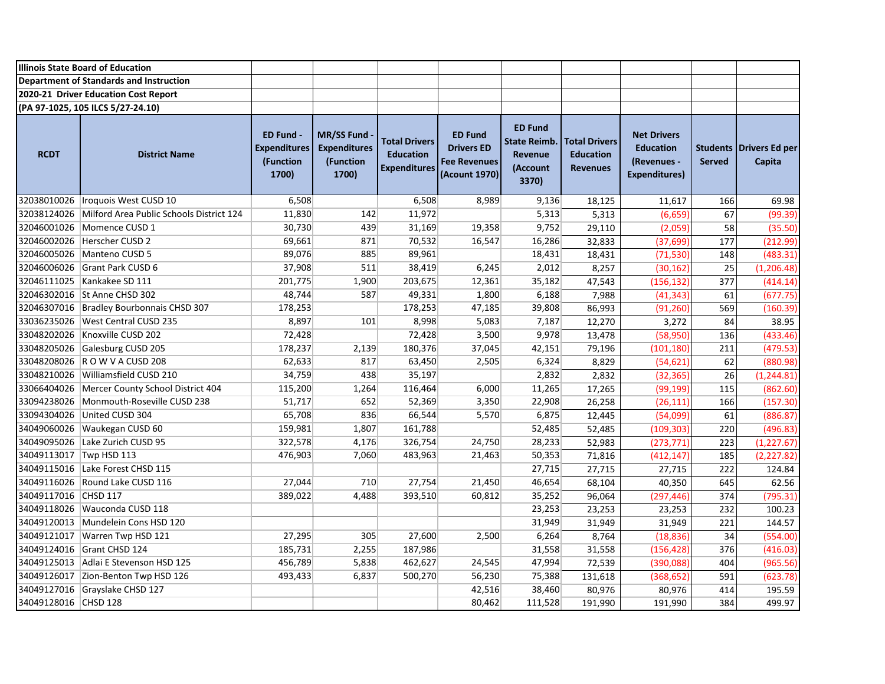|                         | <b>Illinois State Board of Education</b>        |                                                        |                                                                |                                                                 |                                                                             |                                                                              |                                                             |                                                                               |                           |                          |
|-------------------------|-------------------------------------------------|--------------------------------------------------------|----------------------------------------------------------------|-----------------------------------------------------------------|-----------------------------------------------------------------------------|------------------------------------------------------------------------------|-------------------------------------------------------------|-------------------------------------------------------------------------------|---------------------------|--------------------------|
|                         | Department of Standards and Instruction         |                                                        |                                                                |                                                                 |                                                                             |                                                                              |                                                             |                                                                               |                           |                          |
|                         | 2020-21 Driver Education Cost Report            |                                                        |                                                                |                                                                 |                                                                             |                                                                              |                                                             |                                                                               |                           |                          |
|                         | (PA 97-1025, 105 ILCS 5/27-24.10)               |                                                        |                                                                |                                                                 |                                                                             |                                                                              |                                                             |                                                                               |                           |                          |
| <b>RCDT</b>             | <b>District Name</b>                            | ED Fund -<br><b>Expenditures</b><br>(Function<br>1700) | <b>MR/SS Fund</b><br><b>Expenditures</b><br>(Function<br>1700) | <b>Total Drivers</b><br><b>Education</b><br><b>Expenditures</b> | <b>ED Fund</b><br><b>Drivers ED</b><br><b>Fee Revenues</b><br>(Acount 1970) | <b>ED Fund</b><br><b>State Reimb.</b><br><b>Revenue</b><br>(Account<br>3370) | <b>Total Drivers</b><br><b>Education</b><br><b>Revenues</b> | <b>Net Drivers</b><br><b>Education</b><br>(Revenues -<br><b>Expenditures)</b> | <b>Students</b><br>Served | Drivers Ed per<br>Capita |
|                         | 32038010026   Iroquois West CUSD 10             | 6,508                                                  |                                                                | 6,508                                                           | 8,989                                                                       | 9,136                                                                        | 18,125                                                      | 11,617                                                                        | 166                       | 69.98                    |
| 32038124026             | Milford Area Public Schools District 124        | 11,830                                                 | 142                                                            | 11,972                                                          |                                                                             | 5,313                                                                        | 5,313                                                       | (6, 659)                                                                      | 67                        | (99.39)                  |
|                         | 32046001026 Momence CUSD 1                      | 30,730                                                 | 439                                                            | 31,169                                                          | 19,358                                                                      | 9,752                                                                        | 29,110                                                      | (2,059)                                                                       | 58                        | (35.50)                  |
|                         | 32046002026 Herscher CUSD 2                     | 69,661                                                 | 871                                                            | 70,532                                                          | 16,547                                                                      | 16,286                                                                       | 32,833                                                      | (37, 699)                                                                     | 177                       | (212.99)                 |
|                         | 32046005026 Manteno CUSD 5                      | 89,076                                                 | 885                                                            | 89,961                                                          |                                                                             | 18,431                                                                       | 18,431                                                      | (71, 530)                                                                     | 148                       | (483.31)                 |
|                         | 32046006026 Grant Park CUSD 6                   | 37,908                                                 | 511                                                            | 38,419                                                          | 6,245                                                                       | 2,012                                                                        | 8,257                                                       | (30, 162)                                                                     | 25                        | (1, 206.48)              |
|                         | 32046111025 Kankakee SD 111                     | 201,775                                                | 1,900                                                          | 203,675                                                         | 12,361                                                                      | 35,182                                                                       | 47,543                                                      | (156,132)                                                                     | 377                       | (414.14)                 |
|                         | 32046302016 St Anne CHSD 302                    | 48,744                                                 | 587                                                            | 49,331                                                          | 1,800                                                                       | 6,188                                                                        | 7,988                                                       | (41, 343)                                                                     | 61                        | (677.75)                 |
|                         | 32046307016 Bradley Bourbonnais CHSD 307        | 178,253                                                |                                                                | 178,253                                                         | 47,185                                                                      | 39,808                                                                       | 86,993                                                      | (91, 260)                                                                     | 569                       | (160.39)                 |
|                         | 33036235026   West Central CUSD 235             | 8,897                                                  | 101                                                            | 8,998                                                           | 5,083                                                                       | 7,187                                                                        | 12,270                                                      | 3,272                                                                         | 84                        | 38.95                    |
|                         | 33048202026 Knoxville CUSD 202                  | 72,428                                                 |                                                                | 72,428                                                          | 3,500                                                                       | 9,978                                                                        | 13,478                                                      | (58, 950)                                                                     | 136                       | (433.46)                 |
|                         | 33048205026 Galesburg CUSD 205                  | 178,237                                                | 2,139                                                          | 180,376                                                         | 37,045                                                                      | 42,151                                                                       | 79,196                                                      | (101, 180)                                                                    | 211                       | (479.53)                 |
|                         | 33048208026 R O W V A CUSD 208                  | 62,633                                                 | 817                                                            | 63,450                                                          | 2,505                                                                       | 6,324                                                                        | 8,829                                                       | (54, 621)                                                                     | 62                        | (880.98)                 |
|                         | 33048210026 Williamsfield CUSD 210              | 34,759                                                 | 438                                                            | 35,197                                                          |                                                                             | 2,832                                                                        | 2,832                                                       | (32, 365)                                                                     | 26                        | (1, 244.81)              |
|                         | 33066404026   Mercer County School District 404 | 115,200                                                | 1,264                                                          | 116,464                                                         | 6,000                                                                       | 11,265                                                                       | 17,265                                                      | (99, 199)                                                                     | 115                       | (862.60)                 |
|                         | 33094238026 Monmouth-Roseville CUSD 238         | 51,717                                                 | 652                                                            | 52,369                                                          | 3,350                                                                       | 22,908                                                                       | 26,258                                                      | (26, 111)                                                                     | 166                       | (157.30)                 |
|                         | 33094304026 United CUSD 304                     | 65,708                                                 | 836                                                            | 66,544                                                          | 5,570                                                                       | 6,875                                                                        | 12,445                                                      | (54,099)                                                                      | 61                        | (886.87)                 |
|                         | 34049060026 Waukegan CUSD 60                    | 159,981                                                | 1,807                                                          | 161,788                                                         |                                                                             | 52,485                                                                       | 52,485                                                      | (109, 303)                                                                    | 220                       | (496.83)                 |
|                         | 34049095026 Lake Zurich CUSD 95                 | 322,578                                                | 4,176                                                          | 326,754                                                         | 24,750                                                                      | 28,233                                                                       | 52,983                                                      | (273, 771)                                                                    | 223                       | (1, 227.67)              |
| 34049113017 Twp HSD 113 |                                                 | 476,903                                                | 7,060                                                          | 483,963                                                         | 21,463                                                                      | 50,353                                                                       | 71,816                                                      | (412, 147)                                                                    | 185                       | (2, 227.82)              |
|                         | 34049115016 Lake Forest CHSD 115                |                                                        |                                                                |                                                                 |                                                                             | 27,715                                                                       | 27,715                                                      | 27,715                                                                        | 222                       | 124.84                   |
|                         | 34049116026 Round Lake CUSD 116                 | 27,044                                                 | 710                                                            | 27,754                                                          | 21,450                                                                      | 46,654                                                                       | 68,104                                                      | 40,350                                                                        | 645                       | 62.56                    |
| 34049117016 CHSD 117    |                                                 | 389,022                                                | 4,488                                                          | 393,510                                                         | 60,812                                                                      | 35,252                                                                       | 96,064                                                      | (297, 446)                                                                    | 374                       | (795.31)                 |
|                         | 34049118026 Wauconda CUSD 118                   |                                                        |                                                                |                                                                 |                                                                             | 23,253                                                                       | 23,253                                                      | 23,253                                                                        | 232                       | 100.23                   |
|                         | 34049120013 Mundelein Cons HSD 120              |                                                        |                                                                |                                                                 |                                                                             | 31,949                                                                       | 31,949                                                      | 31,949                                                                        | 221                       | 144.57                   |
|                         | 34049121017 Warren Twp HSD 121                  | 27,295                                                 | 305                                                            | 27,600                                                          | 2,500                                                                       | 6,264                                                                        | 8,764                                                       | (18, 836)                                                                     | 34                        | (554.00)                 |
|                         | 34049124016 Grant CHSD 124                      | 185,731                                                | 2,255                                                          | 187,986                                                         |                                                                             | 31,558                                                                       | 31,558                                                      | (156, 428)                                                                    | 376                       | (416.03)                 |
|                         | 34049125013 Adlai E Stevenson HSD 125           | 456,789                                                | 5,838                                                          | 462,627                                                         | 24,545                                                                      | 47,994                                                                       | 72,539                                                      | (390,088)                                                                     | 404                       | (965.56)                 |
|                         | 34049126017 Zion-Benton Twp HSD 126             | 493,433                                                | 6,837                                                          | 500,270                                                         | 56,230                                                                      | 75,388                                                                       | 131,618                                                     | (368, 652)                                                                    | 591                       | (623.78)                 |
|                         | 34049127016 Grayslake CHSD 127                  |                                                        |                                                                |                                                                 | 42,516                                                                      | 38,460                                                                       | 80,976                                                      | 80,976                                                                        | 414                       | 195.59                   |
| 34049128016 CHSD 128    |                                                 |                                                        |                                                                |                                                                 | 80,462                                                                      | 111,528                                                                      | 191,990                                                     | 191,990                                                                       | 384                       | 499.97                   |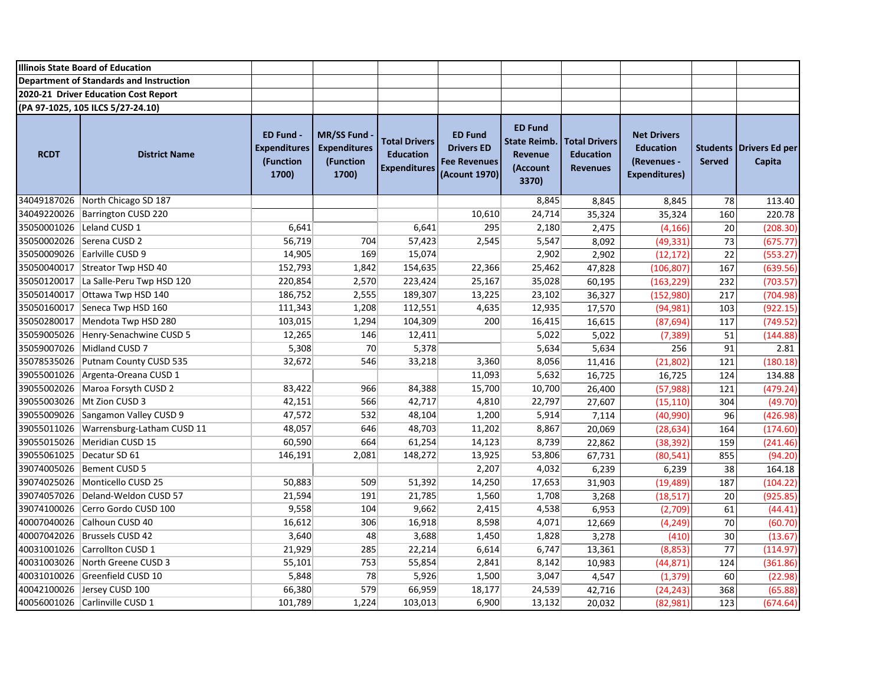|                             | <b>Illinois State Board of Education</b> |                                                        |                                                                |                                                                 |                                                                             |                                                                              |                                                             |                                                                               |                                  |                          |
|-----------------------------|------------------------------------------|--------------------------------------------------------|----------------------------------------------------------------|-----------------------------------------------------------------|-----------------------------------------------------------------------------|------------------------------------------------------------------------------|-------------------------------------------------------------|-------------------------------------------------------------------------------|----------------------------------|--------------------------|
|                             | Department of Standards and Instruction  |                                                        |                                                                |                                                                 |                                                                             |                                                                              |                                                             |                                                                               |                                  |                          |
|                             | 2020-21 Driver Education Cost Report     |                                                        |                                                                |                                                                 |                                                                             |                                                                              |                                                             |                                                                               |                                  |                          |
|                             | (PA 97-1025, 105 ILCS 5/27-24.10)        |                                                        |                                                                |                                                                 |                                                                             |                                                                              |                                                             |                                                                               |                                  |                          |
| <b>RCDT</b>                 | <b>District Name</b>                     | ED Fund -<br><b>Expenditures</b><br>(Function<br>1700) | <b>MR/SS Fund</b><br><b>Expenditures</b><br>(Function<br>1700) | <b>Total Drivers</b><br><b>Education</b><br><b>Expenditures</b> | <b>ED Fund</b><br><b>Drivers ED</b><br><b>Fee Revenues</b><br>(Acount 1970) | <b>ED Fund</b><br><b>State Reimb.</b><br><b>Revenue</b><br>(Account<br>3370) | <b>Total Drivers</b><br><b>Education</b><br><b>Revenues</b> | <b>Net Drivers</b><br><b>Education</b><br>(Revenues -<br><b>Expenditures)</b> | <b>Students</b><br><b>Served</b> | Drivers Ed per<br>Capita |
|                             | 34049187026 North Chicago SD 187         |                                                        |                                                                |                                                                 |                                                                             | 8,845                                                                        | 8,845                                                       | 8,845                                                                         | 78                               | 113.40                   |
|                             | 34049220026 Barrington CUSD 220          |                                                        |                                                                |                                                                 | 10,610                                                                      | 24,714                                                                       | 35,324                                                      | 35,324                                                                        | 160                              | 220.78                   |
| 35050001026   Leland CUSD 1 |                                          | 6,641                                                  |                                                                | 6,641                                                           | 295                                                                         | 2,180                                                                        | 2,475                                                       | (4, 166)                                                                      | $20\,$                           | (208.30)                 |
|                             | 35050002026 Serena CUSD 2                | 56,719                                                 | 704                                                            | 57,423                                                          | 2,545                                                                       | 5,547                                                                        | 8,092                                                       | (49, 331)                                                                     | 73                               | (675.77)                 |
|                             | 35050009026 Earlville CUSD 9             | 14,905                                                 | 169                                                            | 15,074                                                          |                                                                             | 2,902                                                                        | 2,902                                                       | (12, 172)                                                                     | $\overline{22}$                  | (553.27)                 |
|                             | 35050040017 Streator Twp HSD 40          | 152,793                                                | 1,842                                                          | 154,635                                                         | 22,366                                                                      | 25,462                                                                       | 47,828                                                      | (106, 807)                                                                    | 167                              | (639.56)                 |
|                             | 35050120017   La Salle-Peru Twp HSD 120  | 220,854                                                | 2,570                                                          | 223,424                                                         | 25,167                                                                      | 35,028                                                                       | 60,195                                                      | (163, 229)                                                                    | 232                              | (703.57)                 |
|                             | 35050140017 Ottawa Twp HSD 140           | 186,752                                                | 2,555                                                          | 189,307                                                         | 13,225                                                                      | 23,102                                                                       | 36,327                                                      | (152, 980)                                                                    | 217                              | (704.98)                 |
|                             | 35050160017 Seneca Twp HSD 160           | 111,343                                                | 1,208                                                          | 112,551                                                         | 4,635                                                                       | 12,935                                                                       | 17,570                                                      | (94, 981)                                                                     | 103                              | (922.15)                 |
|                             | 35050280017 Mendota Twp HSD 280          | 103,015                                                | 1,294                                                          | 104,309                                                         | 200                                                                         | 16,415                                                                       | 16,615                                                      | (87, 694)                                                                     | 117                              | (749.52)                 |
|                             | 35059005026 Henry-Senachwine CUSD 5      | 12,265                                                 | 146                                                            | 12,411                                                          |                                                                             | 5,022                                                                        | 5,022                                                       | (7, 389)                                                                      | 51                               | (144.88)                 |
|                             | 35059007026 Midland CUSD 7               | 5,308                                                  | 70                                                             | 5,378                                                           |                                                                             | 5,634                                                                        | 5,634                                                       | 256                                                                           | 91                               | 2.81                     |
|                             | 35078535026 Putnam County CUSD 535       | 32,672                                                 | 546                                                            | 33,218                                                          | 3,360                                                                       | 8,056                                                                        | 11,416                                                      | (21, 802)                                                                     | 121                              | (180.18)                 |
|                             | 39055001026 Argenta-Oreana CUSD 1        |                                                        |                                                                |                                                                 | 11,093                                                                      | 5,632                                                                        | 16,725                                                      | 16,725                                                                        | 124                              | 134.88                   |
|                             | 39055002026 Maroa Forsyth CUSD 2         | 83,422                                                 | 966                                                            | 84,388                                                          | 15,700                                                                      | 10,700                                                                       | 26,400                                                      | (57, 988)                                                                     | 121                              | (479.24)                 |
|                             | 39055003026 Mt Zion CUSD 3               | 42,151                                                 | 566                                                            | 42,717                                                          | 4,810                                                                       | 22,797                                                                       | 27,607                                                      | (15, 110)                                                                     | 304                              | (49.70)                  |
|                             | 39055009026 Sangamon Valley CUSD 9       | 47,572                                                 | 532                                                            | 48,104                                                          | 1,200                                                                       | 5,914                                                                        | 7,114                                                       | (40,990)                                                                      | 96                               | (426.98)                 |
|                             | 39055011026 Warrensburg-Latham CUSD 11   | 48,057                                                 | 646                                                            | 48,703                                                          | 11,202                                                                      | 8,867                                                                        | 20,069                                                      | (28, 634)                                                                     | 164                              | (174.60)                 |
|                             | 39055015026   Meridian CUSD 15           | 60,590                                                 | 664                                                            | 61,254                                                          | 14,123                                                                      | 8,739                                                                        | 22,862                                                      | (38, 392)                                                                     | 159                              | (241.46)                 |
| 39055061025   Decatur SD 61 |                                          | 146,191                                                | 2,081                                                          | 148,272                                                         | 13,925                                                                      | 53,806                                                                       | 67,731                                                      | (80, 541)                                                                     | 855                              | (94.20)                  |
|                             | 39074005026 Bement CUSD 5                |                                                        |                                                                |                                                                 | 2,207                                                                       | 4,032                                                                        | 6,239                                                       | 6,239                                                                         | 38                               | 164.18                   |
|                             | 39074025026   Monticello CUSD 25         | 50,883                                                 | 509                                                            | 51,392                                                          | 14,250                                                                      | 17,653                                                                       | 31,903                                                      | (19, 489)                                                                     | 187                              | (104.22)                 |
|                             | 39074057026   Deland-Weldon CUSD 57      | 21,594                                                 | 191                                                            | 21,785                                                          | 1,560                                                                       | 1,708                                                                        | 3,268                                                       | (18, 517)                                                                     | 20                               | (925.85)                 |
|                             | 39074100026 Cerro Gordo CUSD 100         | 9,558                                                  | 104                                                            | 9,662                                                           | 2,415                                                                       | 4,538                                                                        | 6,953                                                       | (2,709)                                                                       | 61                               | (44.41)                  |
|                             | 40007040026 Calhoun CUSD 40              | 16,612                                                 | 306                                                            | 16,918                                                          | 8,598                                                                       | 4,071                                                                        | 12,669                                                      | (4, 249)                                                                      | 70                               | (60.70)                  |
|                             | 40007042026   Brussels CUSD 42           | 3,640                                                  | 48                                                             | 3,688                                                           | 1,450                                                                       | 1,828                                                                        | 3,278                                                       | (410)                                                                         | 30                               | (13.67)                  |
|                             | 40031001026 Carrollton CUSD 1            | 21,929                                                 | 285                                                            | 22,214                                                          | 6,614                                                                       | 6,747                                                                        | 13,361                                                      | (8,853)                                                                       | 77                               | (114.97)                 |
|                             | 40031003026 North Greene CUSD 3          | 55,101                                                 | 753                                                            | 55,854                                                          | 2,841                                                                       | 8,142                                                                        | 10,983                                                      | (44, 871)                                                                     | 124                              | (361.86)                 |
|                             | 40031010026 Greenfield CUSD 10           | 5,848                                                  | 78                                                             | 5,926                                                           | 1,500                                                                       | 3,047                                                                        | 4,547                                                       | (1, 379)                                                                      | 60                               | (22.98)                  |
|                             | 40042100026 Jersey CUSD 100              | 66,380                                                 | 579                                                            | 66,959                                                          | 18,177                                                                      | 24,539                                                                       | 42,716                                                      | (24, 243)                                                                     | 368                              | (65.88)                  |
|                             | 40056001026 Carlinville CUSD 1           | 101,789                                                | 1,224                                                          | 103,013                                                         | 6,900                                                                       | 13,132                                                                       | 20,032                                                      | (82,981)                                                                      | 123                              | (674.64)                 |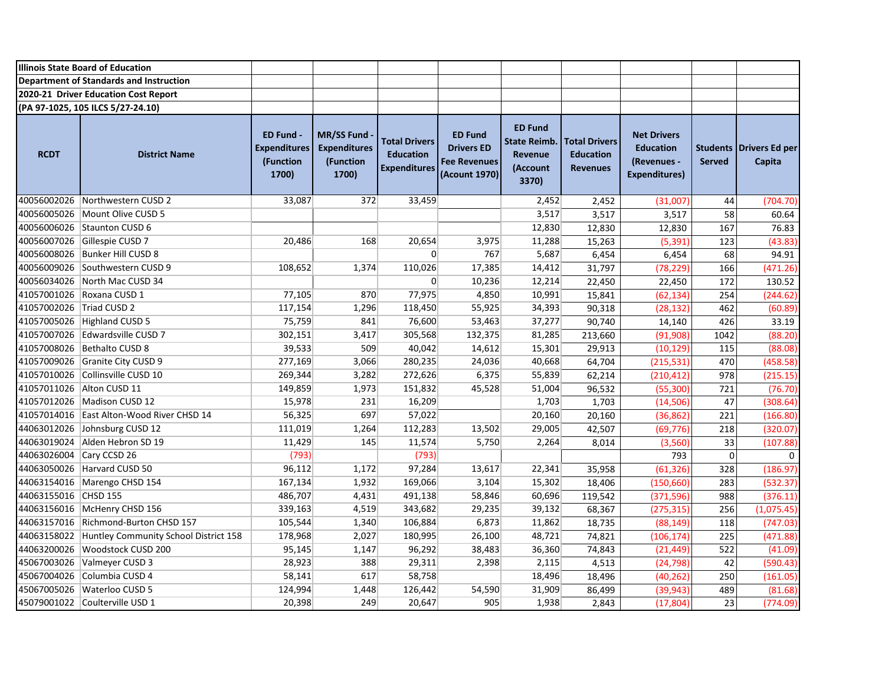|                          | <b>Illinois State Board of Education</b>          |                                                               |                                                                |                                                                 |                                                                             |                                                                       |                                                             |                                                                               |               |                                            |
|--------------------------|---------------------------------------------------|---------------------------------------------------------------|----------------------------------------------------------------|-----------------------------------------------------------------|-----------------------------------------------------------------------------|-----------------------------------------------------------------------|-------------------------------------------------------------|-------------------------------------------------------------------------------|---------------|--------------------------------------------|
|                          | Department of Standards and Instruction           |                                                               |                                                                |                                                                 |                                                                             |                                                                       |                                                             |                                                                               |               |                                            |
|                          | 2020-21 Driver Education Cost Report              |                                                               |                                                                |                                                                 |                                                                             |                                                                       |                                                             |                                                                               |               |                                            |
|                          | (PA 97-1025, 105 ILCS 5/27-24.10)                 |                                                               |                                                                |                                                                 |                                                                             |                                                                       |                                                             |                                                                               |               |                                            |
| <b>RCDT</b>              | <b>District Name</b>                              | <b>ED Fund -</b><br><b>Expenditures</b><br>(Function<br>1700) | <b>MR/SS Fund</b><br><b>Expenditures</b><br>(Function<br>1700) | <b>Total Drivers</b><br><b>Education</b><br><b>Expenditures</b> | <b>ED Fund</b><br><b>Drivers ED</b><br><b>Fee Revenues</b><br>(Acount 1970) | <b>ED Fund</b><br><b>State Reimb.</b><br>Revenue<br>(Account<br>3370) | <b>Total Drivers</b><br><b>Education</b><br><b>Revenues</b> | <b>Net Drivers</b><br><b>Education</b><br>(Revenues -<br><b>Expenditures)</b> | <b>Served</b> | <b>Students   Drivers Ed per</b><br>Capita |
|                          | 40056002026 Northwestern CUSD 2                   | 33,087                                                        | 372                                                            | 33,459                                                          |                                                                             | 2,452                                                                 | 2,452                                                       | (31,007)                                                                      | 44            | (704.70)                                   |
|                          | 40056005026 Mount Olive CUSD 5                    |                                                               |                                                                |                                                                 |                                                                             | 3,517                                                                 | 3,517                                                       | 3,517                                                                         | 58            | 60.64                                      |
|                          | 40056006026 Staunton CUSD 6                       |                                                               |                                                                |                                                                 |                                                                             | 12,830                                                                | 12,830                                                      | 12,830                                                                        | 167           | 76.83                                      |
|                          | 40056007026 Gillespie CUSD 7                      | 20,486                                                        | 168                                                            | 20,654                                                          | 3,975                                                                       | 11,288                                                                | 15,263                                                      | (5, 391)                                                                      | 123           | (43.83)                                    |
|                          | 40056008026 Bunker Hill CUSD 8                    |                                                               |                                                                | $\overline{0}$                                                  | 767                                                                         | 5,687                                                                 | 6,454                                                       | 6,454                                                                         | 68            | 94.91                                      |
|                          | 40056009026 Southwestern CUSD 9                   | 108,652                                                       | 1,374                                                          | 110,026                                                         | 17,385                                                                      | 14,412                                                                | 31,797                                                      | (78, 229)                                                                     | 166           | (471.26)                                   |
|                          | 40056034026 North Mac CUSD 34                     |                                                               |                                                                | $\mathbf{0}$                                                    | 10,236                                                                      | 12,214                                                                | 22,450                                                      | 22,450                                                                        | 172           | 130.52                                     |
|                          | 41057001026 Roxana CUSD 1                         | 77,105                                                        | 870                                                            | 77,975                                                          | 4,850                                                                       | 10,991                                                                | 15,841                                                      | (62, 134)                                                                     | 254           | (244.62)                                   |
| 41057002026 Triad CUSD 2 |                                                   | 117,154                                                       | 1,296                                                          | 118,450                                                         | 55,925                                                                      | 34,393                                                                | 90,318                                                      | (28, 132)                                                                     | 462           | (60.89)                                    |
|                          | 41057005026 Highland CUSD 5                       | 75,759                                                        | 841                                                            | 76,600                                                          | 53,463                                                                      | 37,277                                                                | 90,740                                                      | 14,140                                                                        | 426           | 33.19                                      |
|                          | 41057007026 Edwardsville CUSD 7                   | 302,151                                                       | 3,417                                                          | 305,568                                                         | 132,375                                                                     | 81,285                                                                | 213,660                                                     | (91, 908)                                                                     | 1042          | (88.20)                                    |
|                          | 41057008026 Bethalto CUSD 8                       | 39,533                                                        | 509                                                            | 40,042                                                          | 14,612                                                                      | 15,301                                                                | 29,913                                                      | (10, 129)                                                                     | 115           | (88.08)                                    |
|                          | 41057009026 Granite City CUSD 9                   | 277,169                                                       | 3,066                                                          | 280,235                                                         | 24,036                                                                      | 40,668                                                                | 64,704                                                      | (215, 531)                                                                    | 470           | (458.58)                                   |
|                          | 41057010026 Collinsville CUSD 10                  | 269,344                                                       | 3,282                                                          | 272,626                                                         | 6,375                                                                       | 55,839                                                                | 62,214                                                      | (210, 412)                                                                    | 978           | (215.15)                                   |
|                          | 41057011026 Alton CUSD 11                         | 149,859                                                       | 1,973                                                          | 151,832                                                         | 45,528                                                                      | 51,004                                                                | 96,532                                                      | (55, 300)                                                                     | 721           | (76.70)                                    |
|                          | 41057012026 Madison CUSD 12                       | 15,978                                                        | 231                                                            | 16,209                                                          |                                                                             | 1,703                                                                 | 1,703                                                       | (14, 506)                                                                     | 47            | (308.64)                                   |
|                          | 41057014016 East Alton-Wood River CHSD 14         | 56,325                                                        | 697                                                            | 57,022                                                          |                                                                             | 20,160                                                                | 20,160                                                      | (36, 862)                                                                     | 221           | (166.80)                                   |
|                          | 44063012026 Johnsburg CUSD 12                     | 111,019                                                       | 1,264                                                          | 112,283                                                         | 13,502                                                                      | 29,005                                                                | 42,507                                                      | (69, 776)                                                                     | 218           | (320.07)                                   |
|                          | 44063019024 Alden Hebron SD 19                    | 11,429                                                        | 145                                                            | 11,574                                                          | 5,750                                                                       | 2,264                                                                 | 8,014                                                       | (3,560)                                                                       | 33            | (107.88)                                   |
| 44063026004 Cary CCSD 26 |                                                   | (793)                                                         |                                                                | (793)                                                           |                                                                             |                                                                       |                                                             | 793                                                                           | $\mathbf 0$   | $\mathbf 0$                                |
|                          | 44063050026 Harvard CUSD 50                       | 96,112                                                        | 1,172                                                          | 97,284                                                          | 13,617                                                                      | 22,341                                                                | 35,958                                                      | (61, 326)                                                                     | 328           | (186.97)                                   |
|                          | 44063154016 Marengo CHSD 154                      | 167,134                                                       | 1,932                                                          | 169,066                                                         | 3,104                                                                       | 15,302                                                                | 18,406                                                      | (150, 660)                                                                    | 283           | (532.37)                                   |
| 44063155016 CHSD 155     |                                                   | 486,707                                                       | 4,431                                                          | 491,138                                                         | 58,846                                                                      | 60,696                                                                | 119,542                                                     | (371, 596)                                                                    | 988           | (376.11)                                   |
|                          | 44063156016 McHenry CHSD 156                      | 339,163                                                       | 4,519                                                          | 343,682                                                         | 29,235                                                                      | 39,132                                                                | 68,367                                                      | (275, 315)                                                                    | 256           | (1,075.45)                                 |
|                          | 44063157016 Richmond-Burton CHSD 157              | 105,544                                                       | 1,340                                                          | 106,884                                                         | 6,873                                                                       | 11,862                                                                | 18,735                                                      | (88, 149)                                                                     | 118           | (747.03)                                   |
|                          | 44063158022 Huntley Community School District 158 | 178,968                                                       | 2,027                                                          | 180,995                                                         | 26,100                                                                      | 48,721                                                                | 74,821                                                      | (106, 174)                                                                    | 225           | (471.88)                                   |
| 44063200026              | Woodstock CUSD 200                                | 95,145                                                        | 1,147                                                          | 96,292                                                          | 38,483                                                                      | 36,360                                                                | 74,843                                                      | (21, 449)                                                                     | 522           | (41.09)                                    |
|                          | 45067003026 Valmeyer CUSD 3                       | 28,923                                                        | 388                                                            | 29,311                                                          | 2,398                                                                       | 2,115                                                                 | 4,513                                                       | (24, 798)                                                                     | 42            | (590.43)                                   |
|                          | 45067004026 Columbia CUSD 4                       | 58,141                                                        | 617                                                            | 58,758                                                          |                                                                             | 18,496                                                                | 18,496                                                      | (40, 262)                                                                     | 250           | (161.05)                                   |
|                          | 45067005026   Waterloo CUSD 5                     | 124,994                                                       | 1,448                                                          | 126,442                                                         | 54,590                                                                      | 31,909                                                                | 86,499                                                      | (39, 943)                                                                     | 489           | (81.68)                                    |
|                          | 45079001022 Coulterville USD 1                    | 20,398                                                        | 249                                                            | 20,647                                                          | 905                                                                         | 1,938                                                                 | 2,843                                                       | (17, 804)                                                                     | 23            | (774.09)                                   |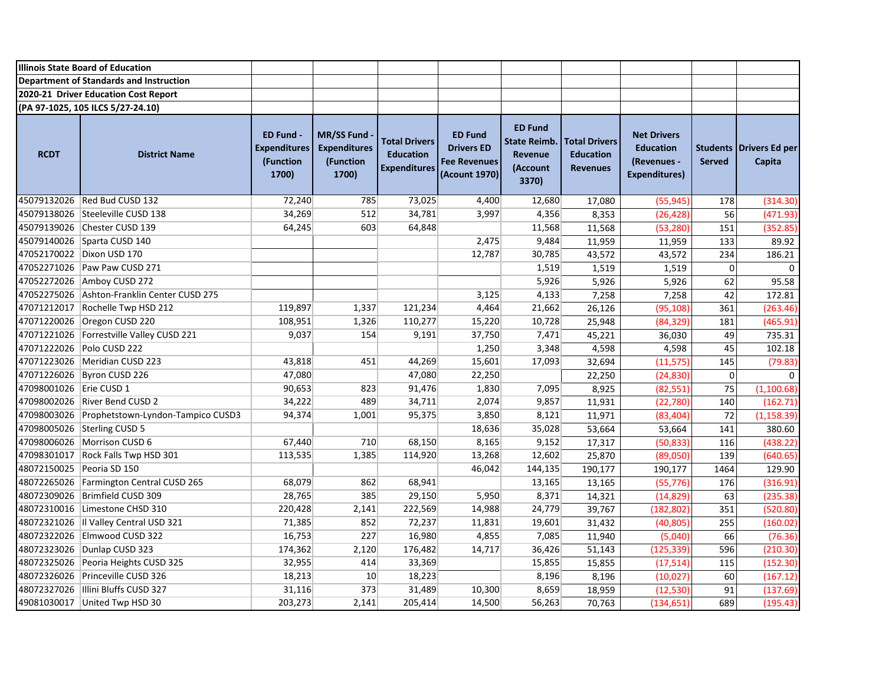|                           | <b>Illinois State Board of Education</b>      |                                                               |                                                                |                                                                 |                                                                             |                                                                              |                                                             |                                                                               |                                  |                                 |
|---------------------------|-----------------------------------------------|---------------------------------------------------------------|----------------------------------------------------------------|-----------------------------------------------------------------|-----------------------------------------------------------------------------|------------------------------------------------------------------------------|-------------------------------------------------------------|-------------------------------------------------------------------------------|----------------------------------|---------------------------------|
|                           | Department of Standards and Instruction       |                                                               |                                                                |                                                                 |                                                                             |                                                                              |                                                             |                                                                               |                                  |                                 |
|                           | 2020-21 Driver Education Cost Report          |                                                               |                                                                |                                                                 |                                                                             |                                                                              |                                                             |                                                                               |                                  |                                 |
|                           | (PA 97-1025, 105 ILCS 5/27-24.10)             |                                                               |                                                                |                                                                 |                                                                             |                                                                              |                                                             |                                                                               |                                  |                                 |
| <b>RCDT</b>               | <b>District Name</b>                          | <b>ED Fund -</b><br><b>Expenditures</b><br>(Function<br>1700) | <b>MR/SS Fund</b><br><b>Expenditures</b><br>(Function<br>1700) | <b>Total Drivers</b><br><b>Education</b><br><b>Expenditures</b> | <b>ED Fund</b><br><b>Drivers ED</b><br><b>Fee Revenues</b><br>(Acount 1970) | <b>ED Fund</b><br><b>State Reimb.</b><br><b>Revenue</b><br>(Account<br>3370) | <b>Total Drivers</b><br><b>Education</b><br><b>Revenues</b> | <b>Net Drivers</b><br><b>Education</b><br>(Revenues -<br><b>Expenditures)</b> | <b>Students</b><br><b>Served</b> | <b>Drivers Ed per</b><br>Capita |
|                           | 45079132026 Red Bud CUSD 132                  | 72,240                                                        | 785                                                            | 73,025                                                          | 4,400                                                                       | 12,680                                                                       | 17,080                                                      | (55, 945)                                                                     | 178                              | (314.30)                        |
|                           | 45079138026 Steeleville CUSD 138              | 34,269                                                        | 512                                                            | 34,781                                                          | 3,997                                                                       | 4,356                                                                        | 8,353                                                       | (26, 428)                                                                     | 56                               | (471.93)                        |
|                           | 45079139026 Chester CUSD 139                  | 64,245                                                        | 603                                                            | 64,848                                                          |                                                                             | 11,568                                                                       | 11,568                                                      | (53, 280)                                                                     | 151                              | (352.85)                        |
|                           | 45079140026 Sparta CUSD 140                   |                                                               |                                                                |                                                                 | 2,475                                                                       | 9,484                                                                        | 11,959                                                      | 11,959                                                                        | 133                              | 89.92                           |
|                           | 47052170022 Dixon USD 170                     |                                                               |                                                                |                                                                 | 12,787                                                                      | 30,785                                                                       | 43,572                                                      | 43,572                                                                        | 234                              | 186.21                          |
|                           | 47052271026 Paw Paw CUSD 271                  |                                                               |                                                                |                                                                 |                                                                             | 1,519                                                                        | 1,519                                                       | 1,519                                                                         | $\mathsf 0$                      | $\Omega$                        |
|                           | 47052272026 Amboy CUSD 272                    |                                                               |                                                                |                                                                 |                                                                             | 5,926                                                                        | 5,926                                                       | 5,926                                                                         | 62                               | 95.58                           |
|                           | 47052275026 Ashton-Franklin Center CUSD 275   |                                                               |                                                                |                                                                 | 3,125                                                                       | 4,133                                                                        | 7,258                                                       | 7,258                                                                         | 42                               | 172.81                          |
|                           | 47071212017 Rochelle Twp HSD 212              | 119,897                                                       | 1,337                                                          | 121,234                                                         | 4,464                                                                       | 21,662                                                                       | 26,126                                                      | (95, 108)                                                                     | 361                              | (263.46)                        |
|                           | 47071220026 Oregon CUSD 220                   | 108,951                                                       | 1,326                                                          | 110,277                                                         | 15,220                                                                      | 10,728                                                                       | 25,948                                                      | (84, 329)                                                                     | 181                              | (465.91)                        |
|                           | 47071221026 Forrestville Valley CUSD 221      | 9,037                                                         | 154                                                            | 9,191                                                           | 37,750                                                                      | 7,471                                                                        | 45,221                                                      | 36,030                                                                        | 49                               | 735.31                          |
|                           | 47071222026 Polo CUSD 222                     |                                                               |                                                                |                                                                 | 1,250                                                                       | 3,348                                                                        | 4,598                                                       | 4,598                                                                         | 45                               | 102.18                          |
|                           | 47071223026 Meridian CUSD 223                 | 43,818                                                        | 451                                                            | 44,269                                                          | 15,601                                                                      | 17,093                                                                       | 32,694                                                      | (11, 575)                                                                     | 145                              | (79.83)                         |
|                           | 47071226026 Byron CUSD 226                    | 47,080                                                        |                                                                | 47,080                                                          | 22,250                                                                      |                                                                              | 22,250                                                      | (24, 830)                                                                     | 0                                | $\Omega$                        |
| 47098001026   Erie CUSD 1 |                                               | 90,653                                                        | 823                                                            | 91,476                                                          | 1,830                                                                       | 7,095                                                                        | 8,925                                                       | (82, 551)                                                                     | 75                               | (1, 100.68)                     |
|                           | 47098002026 River Bend CUSD 2                 | 34,222                                                        | 489                                                            | 34,711                                                          | 2,074                                                                       | 9,857                                                                        | 11,931                                                      | (22, 780)                                                                     | 140                              | (162.71)                        |
|                           | 47098003026 Prophetstown-Lyndon-Tampico CUSD3 | 94,374                                                        | 1,001                                                          | 95,375                                                          | 3,850                                                                       | 8,121                                                                        | 11,971                                                      | (83, 404)                                                                     | 72                               | (1, 158.39)                     |
|                           | 47098005026 Sterling CUSD 5                   |                                                               |                                                                |                                                                 | 18,636                                                                      | 35,028                                                                       | 53,664                                                      | 53,664                                                                        | 141                              | 380.60                          |
|                           | 47098006026 Morrison CUSD 6                   | 67,440                                                        | 710                                                            | 68,150                                                          | 8,165                                                                       | 9,152                                                                        | 17,317                                                      | (50, 833)                                                                     | 116                              | (438.22)                        |
|                           | 47098301017 Rock Falls Twp HSD 301            | 113,535                                                       | 1,385                                                          | 114,920                                                         | 13,268                                                                      | 12,602                                                                       | 25,870                                                      | (89,050)                                                                      | 139                              | (640.65)                        |
| 48072150025 Peoria SD 150 |                                               |                                                               |                                                                |                                                                 | 46,042                                                                      | 144,135                                                                      | 190,177                                                     | 190,177                                                                       | 1464                             | 129.90                          |
|                           | 48072265026   Farmington Central CUSD 265     | 68,079                                                        | 862                                                            | 68,941                                                          |                                                                             | 13,165                                                                       | 13,165                                                      | (55, 776)                                                                     | 176                              | (316.91)                        |
|                           | 48072309026 Brimfield CUSD 309                | 28,765                                                        | 385                                                            | 29,150                                                          | 5,950                                                                       | 8,371                                                                        | 14,321                                                      | (14, 829)                                                                     | 63                               | (235.38)                        |
|                           | 48072310016 Limestone CHSD 310                | 220,428                                                       | 2,141                                                          | 222,569                                                         | 14,988                                                                      | 24,779                                                                       | 39,767                                                      | (182, 802)                                                                    | 351                              | (520.80)                        |
|                           | 48072321026  Il Valley Central USD 321        | 71,385                                                        | 852                                                            | 72,237                                                          | 11,831                                                                      | 19,601                                                                       | 31,432                                                      | (40, 805)                                                                     | 255                              | (160.02)                        |
|                           | 48072322026 Elmwood CUSD 322                  | 16,753                                                        | 227                                                            | 16,980                                                          | 4,855                                                                       | 7,085                                                                        | 11,940                                                      | (5,040)                                                                       | 66                               | (76.36)                         |
|                           | 48072323026 Dunlap CUSD 323                   | 174,362                                                       | 2,120                                                          | 176,482                                                         | 14,717                                                                      | 36,426                                                                       | 51,143                                                      | (125, 339)                                                                    | 596                              | (210.30)                        |
|                           | 48072325026 Peoria Heights CUSD 325           | 32,955                                                        | 414                                                            | 33,369                                                          |                                                                             | 15,855                                                                       | 15,855                                                      | (17, 514)                                                                     | 115                              | (152.30)                        |
|                           | 48072326026 Princeville CUSD 326              | 18,213                                                        | 10                                                             | 18,223                                                          |                                                                             | 8,196                                                                        | 8,196                                                       | (10, 027)                                                                     | 60                               | (167.12)                        |
|                           | 48072327026   Illini Bluffs CUSD 327          | 31,116                                                        | 373                                                            | 31,489                                                          | 10,300                                                                      | 8,659                                                                        | 18,959                                                      | (12, 530)                                                                     | 91                               | (137.69)                        |
|                           | 49081030017 United Twp HSD 30                 | 203,273                                                       | 2,141                                                          | 205,414                                                         | 14,500                                                                      | 56,263                                                                       | 70,763                                                      | (134, 651)                                                                    | 689                              | (195.43)                        |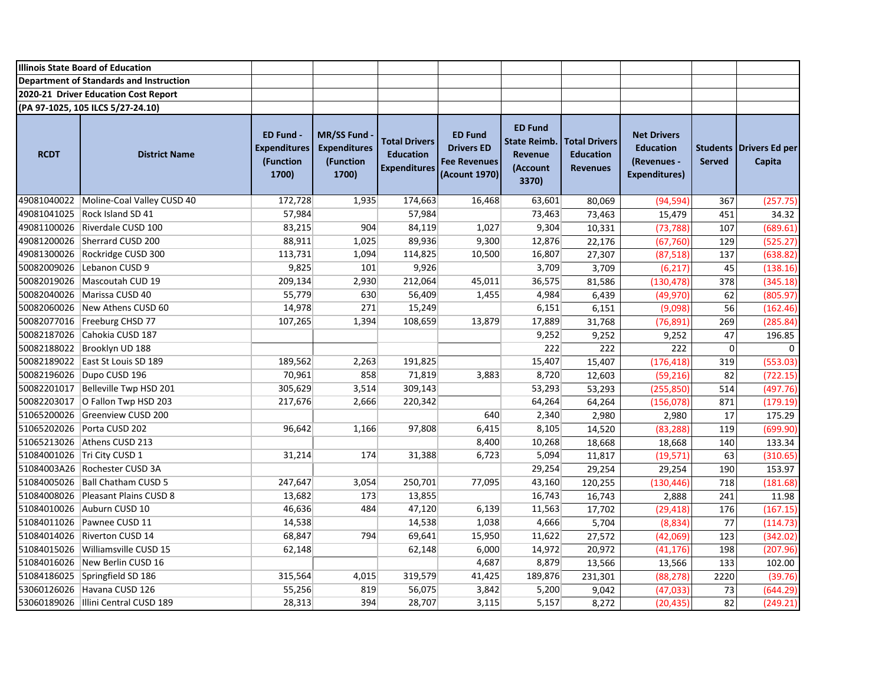|                                         | <b>Illinois State Board of Education</b> |                                                               |                                                                |                                                                 |                                                                             |                                                                       |                                                             |                                                                               |               |                                   |
|-----------------------------------------|------------------------------------------|---------------------------------------------------------------|----------------------------------------------------------------|-----------------------------------------------------------------|-----------------------------------------------------------------------------|-----------------------------------------------------------------------|-------------------------------------------------------------|-------------------------------------------------------------------------------|---------------|-----------------------------------|
| Department of Standards and Instruction |                                          |                                                               |                                                                |                                                                 |                                                                             |                                                                       |                                                             |                                                                               |               |                                   |
|                                         | 2020-21 Driver Education Cost Report     |                                                               |                                                                |                                                                 |                                                                             |                                                                       |                                                             |                                                                               |               |                                   |
|                                         | (PA 97-1025, 105 ILCS 5/27-24.10)        |                                                               |                                                                |                                                                 |                                                                             |                                                                       |                                                             |                                                                               |               |                                   |
| <b>RCDT</b>                             | <b>District Name</b>                     | <b>ED Fund -</b><br><b>Expenditures</b><br>(Function<br>1700) | <b>MR/SS Fund</b><br><b>Expenditures</b><br>(Function<br>1700) | <b>Total Drivers</b><br><b>Education</b><br><b>Expenditures</b> | <b>ED Fund</b><br><b>Drivers ED</b><br><b>Fee Revenues</b><br>(Acount 1970) | <b>ED Fund</b><br><b>State Reimb.</b><br>Revenue<br>(Account<br>3370) | <b>Total Drivers</b><br><b>Education</b><br><b>Revenues</b> | <b>Net Drivers</b><br><b>Education</b><br>(Revenues -<br><b>Expenditures)</b> | <b>Served</b> | Students Drivers Ed per<br>Capita |
|                                         | 49081040022 Moline-Coal Valley CUSD 40   | 172,728                                                       | 1,935                                                          | 174,663                                                         | 16,468                                                                      | 63,601                                                                | 80,069                                                      | (94, 594)                                                                     | 367           | (257.75)                          |
|                                         | 49081041025 Rock Island SD 41            | 57,984                                                        |                                                                | 57,984                                                          |                                                                             | 73,463                                                                | 73,463                                                      | 15,479                                                                        | 451           | 34.32                             |
|                                         | 49081100026 Riverdale CUSD 100           | 83,215                                                        | 904                                                            | 84,119                                                          | 1,027                                                                       | 9,304                                                                 | 10,331                                                      | (73, 788)                                                                     | 107           | (689.61)                          |
|                                         | 49081200026 Sherrard CUSD 200            | 88,911                                                        | 1,025                                                          | 89,936                                                          | 9,300                                                                       | 12,876                                                                | 22,176                                                      | (67, 760)                                                                     | 129           | (525.27)                          |
|                                         | 49081300026 Rockridge CUSD 300           | 113,731                                                       | 1,094                                                          | 114,825                                                         | 10,500                                                                      | 16,807                                                                | 27,307                                                      | (87, 518)                                                                     | 137           | (638.82)                          |
|                                         | 50082009026 Lebanon CUSD 9               | 9,825                                                         | 101                                                            | 9,926                                                           |                                                                             | 3,709                                                                 | 3,709                                                       | (6, 217)                                                                      | 45            | (138.16)                          |
|                                         | 50082019026   Mascoutah CUD 19           | 209,134                                                       | 2,930                                                          | 212,064                                                         | 45,011                                                                      | 36,575                                                                | 81,586                                                      | (130, 478)                                                                    | 378           | (345.18)                          |
|                                         | 50082040026   Marissa CUSD 40            | 55,779                                                        | 630                                                            | 56,409                                                          | 1,455                                                                       | 4,984                                                                 | 6,439                                                       | (49, 970)                                                                     | 62            | (805.97)                          |
|                                         | 50082060026 New Athens CUSD 60           | 14,978                                                        | 271                                                            | 15,249                                                          |                                                                             | 6,151                                                                 | 6,151                                                       | (9,098)                                                                       | 56            | (162.46)                          |
|                                         | 50082077016 Freeburg CHSD 77             | 107,265                                                       | 1,394                                                          | 108,659                                                         | 13,879                                                                      | 17,889                                                                | 31,768                                                      | (76, 891)                                                                     | 269           | (285.84)                          |
|                                         | 50082187026 Cahokia CUSD 187             |                                                               |                                                                |                                                                 |                                                                             | 9,252                                                                 | 9,252                                                       | 9,252                                                                         | 47            | 196.85                            |
|                                         | 50082188022 Brooklyn UD 188              |                                                               |                                                                |                                                                 |                                                                             | 222                                                                   | 222                                                         | 222                                                                           | $\pmb{0}$     | $\mathbf 0$                       |
|                                         | 50082189022 East St Louis SD 189         | 189,562                                                       | 2,263                                                          | 191,825                                                         |                                                                             | 15,407                                                                | 15,407                                                      | (176, 418)                                                                    | 319           | (553.03)                          |
|                                         | 50082196026 Dupo CUSD 196                | 70,961                                                        | 858                                                            | 71,819                                                          | 3,883                                                                       | 8,720                                                                 | 12,603                                                      | (59, 216)                                                                     | 82            | (722.15)                          |
|                                         | 50082201017   Belleville Twp HSD 201     | 305,629                                                       | 3,514                                                          | 309,143                                                         |                                                                             | 53,293                                                                | 53,293                                                      | (255, 850)                                                                    | 514           | (497.76)                          |
|                                         | 50082203017 O Fallon Twp HSD 203         | 217,676                                                       | 2,666                                                          | 220,342                                                         |                                                                             | 64,264                                                                | 64,264                                                      | (156, 078)                                                                    | 871           | (179.19)                          |
|                                         | 51065200026 Greenview CUSD 200           |                                                               |                                                                |                                                                 | 640                                                                         | 2,340                                                                 | 2,980                                                       | 2,980                                                                         | 17            | 175.29                            |
|                                         | 51065202026 Porta CUSD 202               | 96,642                                                        | 1,166                                                          | 97,808                                                          | 6,415                                                                       | 8,105                                                                 | 14,520                                                      | (83, 288)                                                                     | 119           | (699.90)                          |
|                                         | 51065213026 Athens CUSD 213              |                                                               |                                                                |                                                                 | 8,400                                                                       | 10,268                                                                | 18,668                                                      | 18,668                                                                        | 140           | 133.34                            |
|                                         | 51084001026 Tri City CUSD 1              | 31,214                                                        | 174                                                            | 31,388                                                          | 6,723                                                                       | 5,094                                                                 | 11,817                                                      | (19, 571)                                                                     | 63            | (310.65)                          |
|                                         | 51084003A26 Rochester CUSD 3A            |                                                               |                                                                |                                                                 |                                                                             | 29,254                                                                | 29,254                                                      | 29,254                                                                        | 190           | 153.97                            |
|                                         | 51084005026   Ball Chatham CUSD 5        | 247,647                                                       | 3,054                                                          | 250,701                                                         | 77,095                                                                      | 43,160                                                                | 120,255                                                     | (130, 446)                                                                    | 718           | (181.68)                          |
|                                         | 51084008026 Pleasant Plains CUSD 8       | 13,682                                                        | 173                                                            | 13,855                                                          |                                                                             | 16,743                                                                | 16,743                                                      | 2,888                                                                         | 241           | 11.98                             |
|                                         | 51084010026 Auburn CUSD 10               | 46,636                                                        | 484                                                            | 47,120                                                          | 6,139                                                                       | 11,563                                                                | 17,702                                                      | (29, 418)                                                                     | 176           | (167.15)                          |
|                                         | 51084011026 Pawnee CUSD 11               | 14,538                                                        |                                                                | 14,538                                                          | 1,038                                                                       | 4,666                                                                 | 5,704                                                       | (8,834)                                                                       | 77            | (114.73)                          |
|                                         | 51084014026 Riverton CUSD 14             | 68,847                                                        | 794                                                            | 69,641                                                          | 15,950                                                                      | 11,622                                                                | 27,572                                                      | (42,069)                                                                      | 123           | (342.02)                          |
|                                         | 51084015026 Williamsville CUSD 15        | 62,148                                                        |                                                                | 62,148                                                          | 6,000                                                                       | 14,972                                                                | 20,972                                                      | (41, 176)                                                                     | 198           | (207.96)                          |
|                                         | 51084016026 New Berlin CUSD 16           |                                                               |                                                                |                                                                 | 4,687                                                                       | 8,879                                                                 | 13,566                                                      | 13,566                                                                        | 133           | 102.00                            |
|                                         | 51084186025 Springfield SD 186           | 315,564                                                       | 4,015                                                          | 319,579                                                         | 41,425                                                                      | 189,876                                                               | 231,301                                                     | (88, 278)                                                                     | 2220          | (39.76)                           |
|                                         | 53060126026 Havana CUSD 126              | 55,256                                                        | 819                                                            | 56,075                                                          | 3,842                                                                       | 5,200                                                                 | 9,042                                                       | (47, 033)                                                                     | 73            | (644.29)                          |
|                                         | 53060189026   Illini Central CUSD 189    | 28,313                                                        | 394                                                            | 28,707                                                          | 3,115                                                                       | 5,157                                                                 | 8,272                                                       | (20, 435)                                                                     | 82            | (249.21)                          |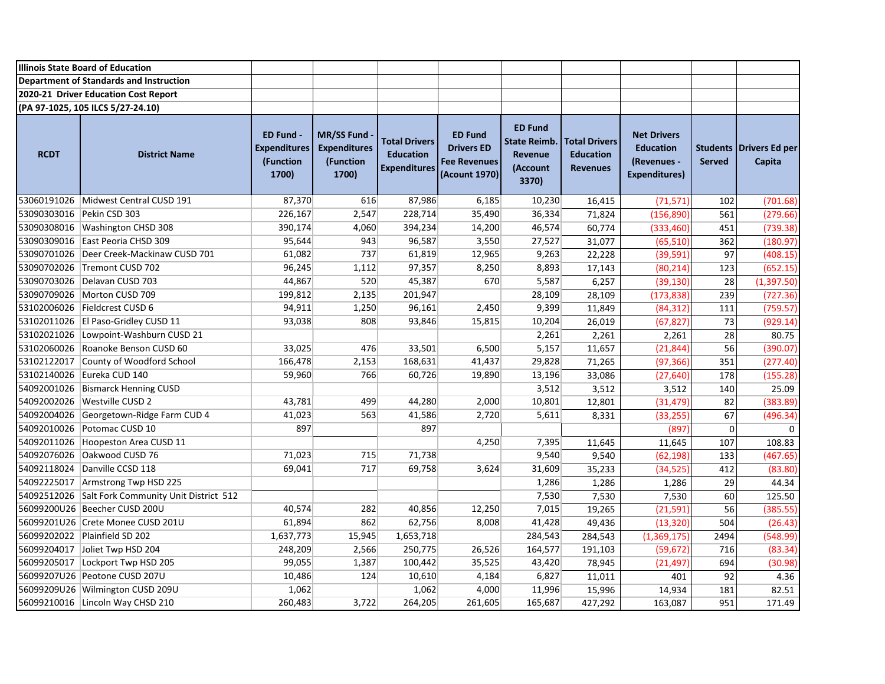|             | <b>Illinois State Board of Education</b>          |                                                               |                                                                |                                                                 |                                                                             |                                                                              |                                                             |                                                                               |                                  |                                 |
|-------------|---------------------------------------------------|---------------------------------------------------------------|----------------------------------------------------------------|-----------------------------------------------------------------|-----------------------------------------------------------------------------|------------------------------------------------------------------------------|-------------------------------------------------------------|-------------------------------------------------------------------------------|----------------------------------|---------------------------------|
|             | Department of Standards and Instruction           |                                                               |                                                                |                                                                 |                                                                             |                                                                              |                                                             |                                                                               |                                  |                                 |
|             | 2020-21 Driver Education Cost Report              |                                                               |                                                                |                                                                 |                                                                             |                                                                              |                                                             |                                                                               |                                  |                                 |
|             | (PA 97-1025, 105 ILCS 5/27-24.10)                 |                                                               |                                                                |                                                                 |                                                                             |                                                                              |                                                             |                                                                               |                                  |                                 |
| <b>RCDT</b> | <b>District Name</b>                              | <b>ED Fund -</b><br><b>Expenditures</b><br>(Function<br>1700) | <b>MR/SS Fund</b><br><b>Expenditures</b><br>(Function<br>1700) | <b>Total Drivers</b><br><b>Education</b><br><b>Expenditures</b> | <b>ED Fund</b><br><b>Drivers ED</b><br><b>Fee Revenues</b><br>(Acount 1970) | <b>ED Fund</b><br><b>State Reimb.</b><br><b>Revenue</b><br>(Account<br>3370) | <b>Total Drivers</b><br><b>Education</b><br><b>Revenues</b> | <b>Net Drivers</b><br><b>Education</b><br>(Revenues -<br><b>Expenditures)</b> | <b>Students</b><br><b>Served</b> | <b>Drivers Ed per</b><br>Capita |
|             | 53060191026 Midwest Central CUSD 191              | 87,370                                                        | 616                                                            | 87,986                                                          | 6,185                                                                       | 10,230                                                                       | 16,415                                                      | (71, 571)                                                                     | 102                              | (701.68)                        |
|             | 53090303016 Pekin CSD 303                         | 226,167                                                       | 2,547                                                          | 228,714                                                         | 35,490                                                                      | 36,334                                                                       | 71,824                                                      | (156, 890)                                                                    | 561                              | (279.66)                        |
|             | 53090308016 Washington CHSD 308                   | 390,174                                                       | 4,060                                                          | 394,234                                                         | 14,200                                                                      | 46,574                                                                       | 60,774                                                      | (333, 460)                                                                    | 451                              | (739.38)                        |
|             | 53090309016 East Peoria CHSD 309                  | 95,644                                                        | 943                                                            | 96,587                                                          | 3,550                                                                       | 27,527                                                                       | 31,077                                                      | (65, 510)                                                                     | 362                              | (180.97)                        |
|             | 53090701026   Deer Creek-Mackinaw CUSD 701        | 61,082                                                        | 737                                                            | 61,819                                                          | 12,965                                                                      | 9,263                                                                        | 22,228                                                      | (39, 591)                                                                     | $\overline{97}$                  | (408.15)                        |
|             | 53090702026 Tremont CUSD 702                      | 96,245                                                        | 1,112                                                          | 97,357                                                          | 8,250                                                                       | 8,893                                                                        | 17,143                                                      | (80, 214)                                                                     | 123                              | (652.15)                        |
|             | 53090703026 Delavan CUSD 703                      | 44,867                                                        | 520                                                            | 45,387                                                          | 670                                                                         | 5,587                                                                        | 6,257                                                       | (39, 130)                                                                     | 28                               | (1, 397.50)                     |
|             | 53090709026 Morton CUSD 709                       | 199,812                                                       | 2,135                                                          | 201,947                                                         |                                                                             | 28,109                                                                       | 28,109                                                      | (173, 838)                                                                    | 239                              | (727.36)                        |
|             | 53102006026 Fieldcrest CUSD 6                     | 94,911                                                        | 1,250                                                          | 96,161                                                          | 2,450                                                                       | 9,399                                                                        | 11,849                                                      | (84, 312)                                                                     | 111                              | (759.57)                        |
|             | 53102011026   El Paso-Gridley CUSD 11             | 93,038                                                        | 808                                                            | 93,846                                                          | 15,815                                                                      | 10,204                                                                       | 26,019                                                      | (67, 827)                                                                     | 73                               | (929.14)                        |
|             | 53102021026 Lowpoint-Washburn CUSD 21             |                                                               |                                                                |                                                                 |                                                                             | 2,261                                                                        | 2,261                                                       | 2,261                                                                         | 28                               | 80.75                           |
|             | 53102060026 Roanoke Benson CUSD 60                | 33,025                                                        | 476                                                            | 33,501                                                          | 6,500                                                                       | 5,157                                                                        | 11,657                                                      | (21, 844)                                                                     | 56                               | (390.07)                        |
|             | 53102122017 County of Woodford School             | 166,478                                                       | 2,153                                                          | 168,631                                                         | 41,437                                                                      | 29,828                                                                       | 71,265                                                      | (97, 366)                                                                     | 351                              | (277.40)                        |
|             | 53102140026 Eureka CUD 140                        | 59,960                                                        | 766                                                            | 60,726                                                          | 19,890                                                                      | 13,196                                                                       | 33,086                                                      | (27, 640)                                                                     | 178                              | (155.28)                        |
|             | 54092001026 Bismarck Henning CUSD                 |                                                               |                                                                |                                                                 |                                                                             | 3,512                                                                        | 3,512                                                       | 3,512                                                                         | 140                              | 25.09                           |
|             | 54092002026 Westville CUSD 2                      | 43,781                                                        | 499                                                            | 44,280                                                          | 2,000                                                                       | 10,801                                                                       | 12,801                                                      | (31, 479)                                                                     | 82                               | (383.89)                        |
|             | 54092004026 Georgetown-Ridge Farm CUD 4           | 41,023                                                        | 563                                                            | 41,586                                                          | 2,720                                                                       | 5,611                                                                        | 8,331                                                       | (33, 255)                                                                     | 67                               | (496.34)                        |
|             | 54092010026 Potomac CUSD 10                       | 897                                                           |                                                                | 897                                                             |                                                                             |                                                                              |                                                             | (897)                                                                         | $\mathbf 0$                      | 0                               |
|             | 54092011026 Hoopeston Area CUSD 11                |                                                               |                                                                |                                                                 | 4,250                                                                       | 7,395                                                                        | 11,645                                                      | 11,645                                                                        | 107                              | 108.83                          |
|             | 54092076026 Oakwood CUSD 76                       | 71,023                                                        | 715                                                            | 71,738                                                          |                                                                             | 9,540                                                                        | 9,540                                                       | (62, 198)                                                                     | 133                              | (467.65)                        |
|             | 54092118024 Danville CCSD 118                     | 69,041                                                        | 717                                                            | 69,758                                                          | 3,624                                                                       | 31,609                                                                       | 35,233                                                      | (34, 525)                                                                     | 412                              | (83.80)                         |
|             | 54092225017 Armstrong Twp HSD 225                 |                                                               |                                                                |                                                                 |                                                                             | 1,286                                                                        | 1,286                                                       | 1,286                                                                         | 29                               | 44.34                           |
|             | 54092512026 Salt Fork Community Unit District 512 |                                                               |                                                                |                                                                 |                                                                             | 7,530                                                                        | 7,530                                                       | 7,530                                                                         | 60                               | 125.50                          |
|             | 56099200U26 Beecher CUSD 200U                     | 40,574                                                        | 282                                                            | 40,856                                                          | 12,250                                                                      | 7,015                                                                        | 19,265                                                      | (21, 591)                                                                     | 56                               | (385.55)                        |
|             | 56099201U26 Crete Monee CUSD 201U                 | 61,894                                                        | 862                                                            | 62,756                                                          | 8,008                                                                       | 41,428                                                                       | 49,436                                                      | (13, 320)                                                                     | 504                              | (26.43)                         |
|             | 56099202022 Plainfield SD 202                     | 1,637,773                                                     | 15,945                                                         | 1,653,718                                                       |                                                                             | 284,543                                                                      | 284,543                                                     | (1,369,175)                                                                   | 2494                             | (548.99)                        |
|             | 56099204017 Joliet Twp HSD 204                    | 248,209                                                       | 2,566                                                          | 250,775                                                         | 26,526                                                                      | 164,577                                                                      | 191,103                                                     | (59, 672)                                                                     | 716                              | (83.34)                         |
|             | 56099205017 Lockport Twp HSD 205                  | 99,055                                                        | 1,387                                                          | 100,442                                                         | 35,525                                                                      | 43,420                                                                       | 78,945                                                      | (21, 497)                                                                     | 694                              | (30.98)                         |
|             | 56099207U26 Peotone CUSD 207U                     | 10,486                                                        | 124                                                            | 10,610                                                          | 4,184                                                                       | 6,827                                                                        | 11,011                                                      | 401                                                                           | 92                               | 4.36                            |
|             | 56099209U26 Wilmington CUSD 209U                  | 1,062                                                         |                                                                | 1,062                                                           | 4,000                                                                       | 11,996                                                                       | 15,996                                                      | 14,934                                                                        | 181                              | 82.51                           |
|             | 56099210016 Lincoln Way CHSD 210                  | 260,483                                                       | 3,722                                                          | 264,205                                                         | 261,605                                                                     | 165,687                                                                      | 427,292                                                     | 163,087                                                                       | 951                              | 171.49                          |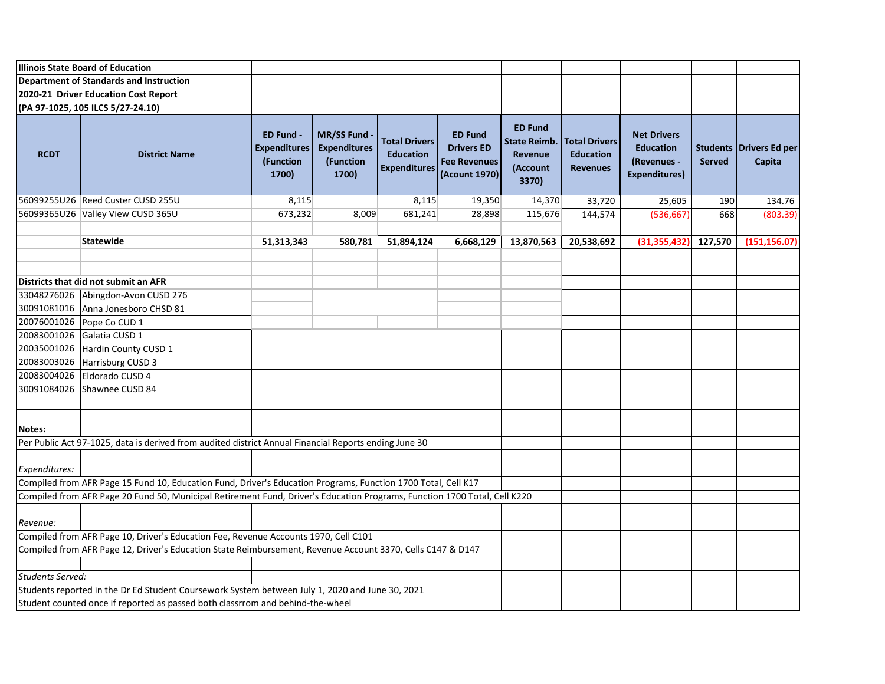|                         | <b>Illinois State Board of Education</b>                                                                                  |                                                        |                                                                |                                                                 |                                                                             |                                                                       |                                                             |                                                                               |               |                                   |
|-------------------------|---------------------------------------------------------------------------------------------------------------------------|--------------------------------------------------------|----------------------------------------------------------------|-----------------------------------------------------------------|-----------------------------------------------------------------------------|-----------------------------------------------------------------------|-------------------------------------------------------------|-------------------------------------------------------------------------------|---------------|-----------------------------------|
|                         | Department of Standards and Instruction                                                                                   |                                                        |                                                                |                                                                 |                                                                             |                                                                       |                                                             |                                                                               |               |                                   |
|                         | 2020-21 Driver Education Cost Report                                                                                      |                                                        |                                                                |                                                                 |                                                                             |                                                                       |                                                             |                                                                               |               |                                   |
|                         | (PA 97-1025, 105 ILCS 5/27-24.10)                                                                                         |                                                        |                                                                |                                                                 |                                                                             |                                                                       |                                                             |                                                                               |               |                                   |
| <b>RCDT</b>             | <b>District Name</b>                                                                                                      | ED Fund -<br><b>Expenditures</b><br>(Function<br>1700) | <b>MR/SS Fund</b><br><b>Expenditures</b><br>(Function<br>1700) | <b>Total Drivers</b><br><b>Education</b><br><b>Expenditures</b> | <b>ED Fund</b><br><b>Drivers ED</b><br><b>Fee Revenues</b><br>(Acount 1970) | <b>ED Fund</b><br><b>State Reimb.</b><br>Revenue<br>(Account<br>3370) | <b>Total Drivers</b><br><b>Education</b><br><b>Revenues</b> | <b>Net Drivers</b><br><b>Education</b><br>(Revenues -<br><b>Expenditures)</b> | <b>Served</b> | Students Drivers Ed per<br>Capita |
|                         | 56099255U26 Reed Custer CUSD 255U                                                                                         | 8,115                                                  |                                                                | 8,115                                                           | 19,350                                                                      | 14,370                                                                | 33,720                                                      | 25,605                                                                        | 190           | 134.76                            |
|                         | 56099365U26 Valley View CUSD 365U                                                                                         | 673,232                                                | 8,009                                                          | 681,241                                                         | 28,898                                                                      | 115,676                                                               | 144,574                                                     | (536, 667)                                                                    | 668           | (803.39)                          |
|                         |                                                                                                                           |                                                        |                                                                |                                                                 |                                                                             |                                                                       |                                                             |                                                                               |               |                                   |
|                         | <b>Statewide</b>                                                                                                          | 51,313,343                                             | 580,781                                                        | 51,894,124                                                      | 6,668,129                                                                   | 13,870,563                                                            | 20,538,692                                                  | (31, 355, 432)                                                                | 127,570       | (151, 156.07)                     |
|                         |                                                                                                                           |                                                        |                                                                |                                                                 |                                                                             |                                                                       |                                                             |                                                                               |               |                                   |
|                         | Districts that did not submit an AFR                                                                                      |                                                        |                                                                |                                                                 |                                                                             |                                                                       |                                                             |                                                                               |               |                                   |
|                         | 33048276026 Abingdon-Avon CUSD 276                                                                                        |                                                        |                                                                |                                                                 |                                                                             |                                                                       |                                                             |                                                                               |               |                                   |
|                         | 30091081016 Anna Jonesboro CHSD 81                                                                                        |                                                        |                                                                |                                                                 |                                                                             |                                                                       |                                                             |                                                                               |               |                                   |
|                         | 20076001026 Pope Co CUD 1                                                                                                 |                                                        |                                                                |                                                                 |                                                                             |                                                                       |                                                             |                                                                               |               |                                   |
|                         | 20083001026 Galatia CUSD 1                                                                                                |                                                        |                                                                |                                                                 |                                                                             |                                                                       |                                                             |                                                                               |               |                                   |
|                         | 20035001026 Hardin County CUSD 1                                                                                          |                                                        |                                                                |                                                                 |                                                                             |                                                                       |                                                             |                                                                               |               |                                   |
|                         | 20083003026 Harrisburg CUSD 3                                                                                             |                                                        |                                                                |                                                                 |                                                                             |                                                                       |                                                             |                                                                               |               |                                   |
|                         | 20083004026 Eldorado CUSD 4                                                                                               |                                                        |                                                                |                                                                 |                                                                             |                                                                       |                                                             |                                                                               |               |                                   |
|                         | 30091084026 Shawnee CUSD 84                                                                                               |                                                        |                                                                |                                                                 |                                                                             |                                                                       |                                                             |                                                                               |               |                                   |
|                         |                                                                                                                           |                                                        |                                                                |                                                                 |                                                                             |                                                                       |                                                             |                                                                               |               |                                   |
| Notes:                  |                                                                                                                           |                                                        |                                                                |                                                                 |                                                                             |                                                                       |                                                             |                                                                               |               |                                   |
|                         | Per Public Act 97-1025, data is derived from audited district Annual Financial Reports ending June 30                     |                                                        |                                                                |                                                                 |                                                                             |                                                                       |                                                             |                                                                               |               |                                   |
|                         |                                                                                                                           |                                                        |                                                                |                                                                 |                                                                             |                                                                       |                                                             |                                                                               |               |                                   |
| Expenditures:           |                                                                                                                           |                                                        |                                                                |                                                                 |                                                                             |                                                                       |                                                             |                                                                               |               |                                   |
|                         | Compiled from AFR Page 15 Fund 10, Education Fund, Driver's Education Programs, Function 1700 Total, Cell K17             |                                                        |                                                                |                                                                 |                                                                             |                                                                       |                                                             |                                                                               |               |                                   |
|                         | Compiled from AFR Page 20 Fund 50, Municipal Retirement Fund, Driver's Education Programs, Function 1700 Total, Cell K220 |                                                        |                                                                |                                                                 |                                                                             |                                                                       |                                                             |                                                                               |               |                                   |
|                         |                                                                                                                           |                                                        |                                                                |                                                                 |                                                                             |                                                                       |                                                             |                                                                               |               |                                   |
| Revenue:                |                                                                                                                           |                                                        |                                                                |                                                                 |                                                                             |                                                                       |                                                             |                                                                               |               |                                   |
|                         | Compiled from AFR Page 10, Driver's Education Fee, Revenue Accounts 1970, Cell C101                                       |                                                        |                                                                |                                                                 |                                                                             |                                                                       |                                                             |                                                                               |               |                                   |
|                         | Compiled from AFR Page 12, Driver's Education State Reimbursement, Revenue Account 3370, Cells C147 & D147                |                                                        |                                                                |                                                                 |                                                                             |                                                                       |                                                             |                                                                               |               |                                   |
| <b>Students Served:</b> |                                                                                                                           |                                                        |                                                                |                                                                 |                                                                             |                                                                       |                                                             |                                                                               |               |                                   |
|                         | Students reported in the Dr Ed Student Coursework System between July 1, 2020 and June 30, 2021                           |                                                        |                                                                |                                                                 |                                                                             |                                                                       |                                                             |                                                                               |               |                                   |
|                         |                                                                                                                           |                                                        |                                                                |                                                                 |                                                                             |                                                                       |                                                             |                                                                               |               |                                   |
|                         | Student counted once if reported as passed both classrrom and behind-the-wheel                                            |                                                        |                                                                |                                                                 |                                                                             |                                                                       |                                                             |                                                                               |               |                                   |